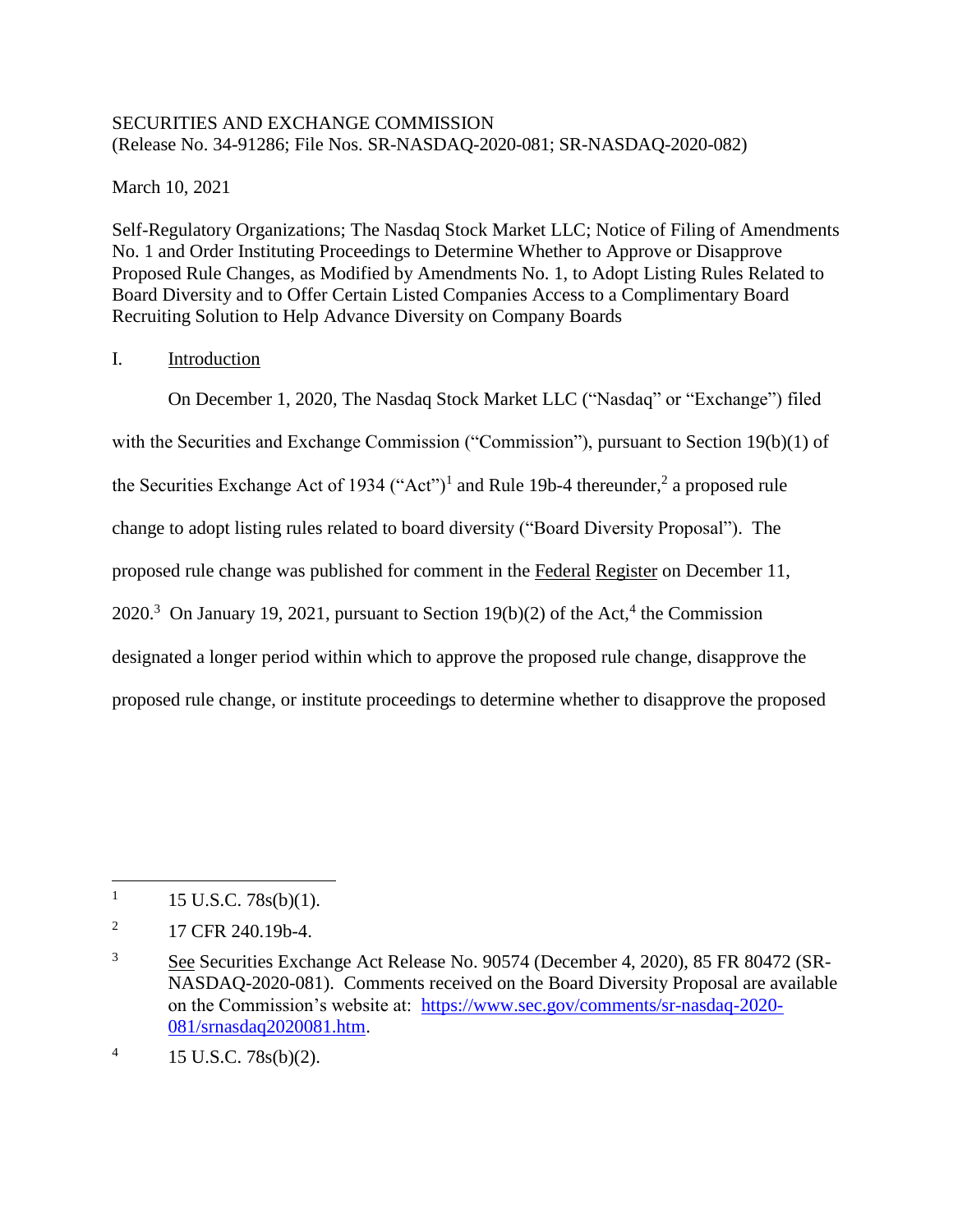### SECURITIES AND EXCHANGE COMMISSION (Release No. 34-91286; File Nos. SR-NASDAQ-2020-081; SR-NASDAQ-2020-082)

March 10, 2021

Self-Regulatory Organizations; The Nasdaq Stock Market LLC; Notice of Filing of Amendments No. 1 and Order Instituting Proceedings to Determine Whether to Approve or Disapprove Proposed Rule Changes, as Modified by Amendments No. 1, to Adopt Listing Rules Related to Board Diversity and to Offer Certain Listed Companies Access to a Complimentary Board Recruiting Solution to Help Advance Diversity on Company Boards

## I. Introduction

On December 1, 2020, The Nasdaq Stock Market LLC ("Nasdaq" or "Exchange") filed with the Securities and Exchange Commission ("Commission"), pursuant to Section 19(b)(1) of the Securities Exchange Act of 1934 ("Act")<sup>1</sup> and Rule 19b-4 thereunder,<sup>2</sup> a proposed rule change to adopt listing rules related to board diversity ("Board Diversity Proposal"). The proposed rule change was published for comment in the Federal Register on December 11, 2020.<sup>3</sup> On January 19, 2021, pursuant to Section 19(b)(2) of the Act,<sup>4</sup> the Commission designated a longer period within which to approve the proposed rule change, disapprove the proposed rule change, or institute proceedings to determine whether to disapprove the proposed

<sup>1</sup> 15 U.S.C. 78s(b)(1).

<sup>2</sup> 17 CFR 240.19b-4.

<sup>&</sup>lt;sup>3</sup> See Securities Exchange Act Release No. 90574 (December 4, 2020), 85 FR 80472 (SR-NASDAQ-2020-081). Comments received on the Board Diversity Proposal are available on the Commission's website at: [https://www.sec.gov/comments/sr-nasdaq-2020-](https://www.sec.gov/comments/sr-nasdaq-2020-081/srnasdaq2020081.htm) [081/srnasdaq2020081.htm.](https://www.sec.gov/comments/sr-nasdaq-2020-081/srnasdaq2020081.htm)

<sup>4</sup> 15 U.S.C. 78s(b)(2).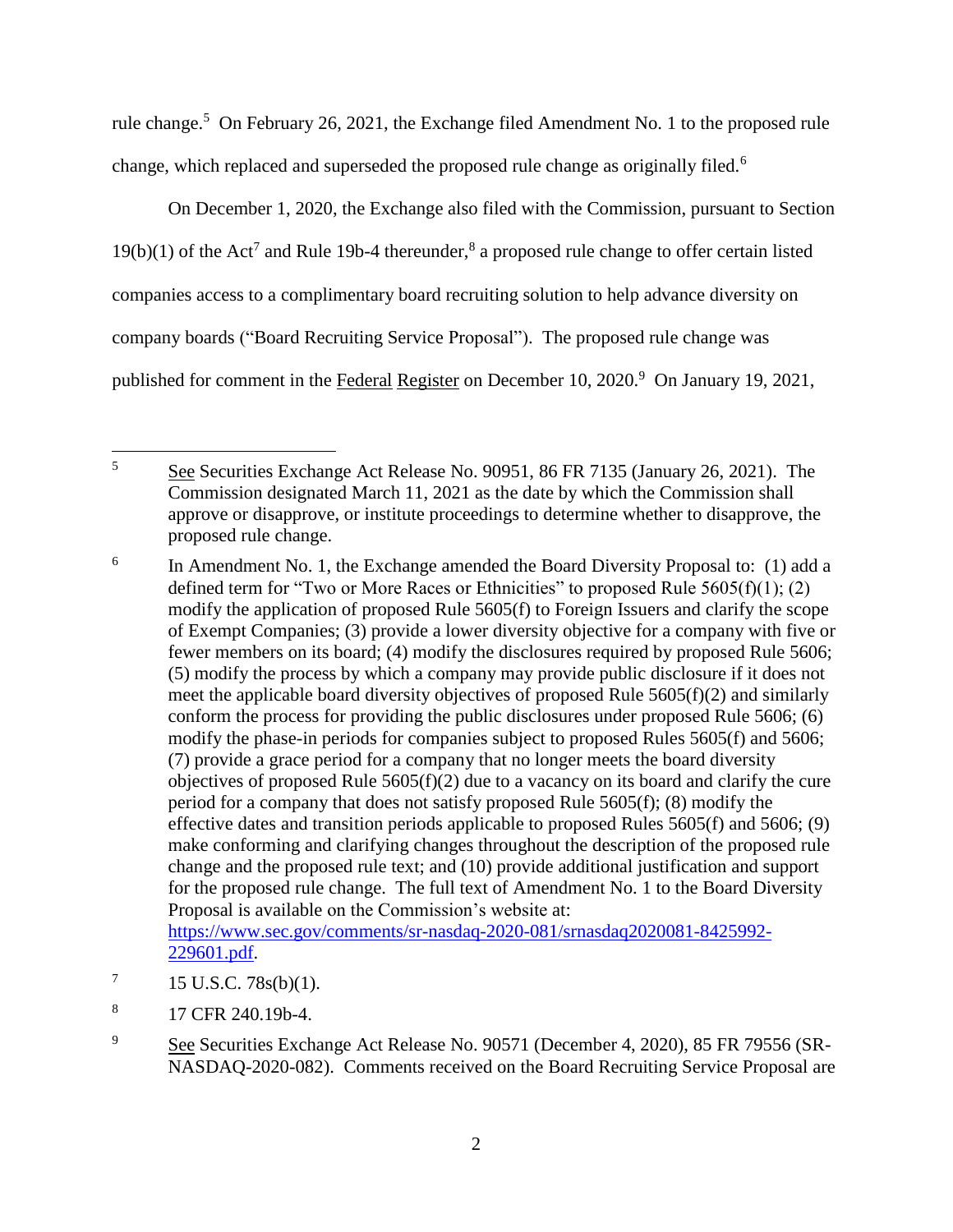rule change.<sup>5</sup> On February 26, 2021, the Exchange filed Amendment No. 1 to the proposed rule change, which replaced and superseded the proposed rule change as originally filed.<sup>6</sup>

On December 1, 2020, the Exchange also filed with the Commission, pursuant to Section  $19(b)(1)$  of the Act<sup>7</sup> and Rule 19b-4 thereunder,<sup>8</sup> a proposed rule change to offer certain listed companies access to a complimentary board recruiting solution to help advance diversity on company boards ("Board Recruiting Service Proposal"). The proposed rule change was published for comment in the Federal Register on December 10, 2020.<sup>9</sup> On January 19, 2021,

- [229601.pdf.](https://www.sec.gov/comments/sr-nasdaq-2020-081/srnasdaq2020081-8425992-229601.pdf)
- 7 15 U.S.C. 78s(b)(1).
- 8 17 CFR 240.19b-4.
- <sup>9</sup> See Securities Exchange Act Release No. 90571 (December 4, 2020), 85 FR 79556 (SR-NASDAQ-2020-082). Comments received on the Board Recruiting Service Proposal are

 $\overline{5}$ <sup>5</sup> See Securities Exchange Act Release No. 90951, 86 FR 7135 (January 26, 2021). The Commission designated March 11, 2021 as the date by which the Commission shall approve or disapprove, or institute proceedings to determine whether to disapprove, the proposed rule change.

<sup>6</sup> In Amendment No. 1, the Exchange amended the Board Diversity Proposal to: (1) add a defined term for "Two or More Races or Ethnicities" to proposed Rule  $5605(f)(1)$ ; (2) modify the application of proposed Rule 5605(f) to Foreign Issuers and clarify the scope of Exempt Companies; (3) provide a lower diversity objective for a company with five or fewer members on its board; (4) modify the disclosures required by proposed Rule 5606; (5) modify the process by which a company may provide public disclosure if it does not meet the applicable board diversity objectives of proposed Rule 5605(f)(2) and similarly conform the process for providing the public disclosures under proposed Rule 5606; (6) modify the phase-in periods for companies subject to proposed Rules 5605(f) and 5606; (7) provide a grace period for a company that no longer meets the board diversity objectives of proposed Rule  $5605(f)(2)$  due to a vacancy on its board and clarify the cure period for a company that does not satisfy proposed Rule 5605(f); (8) modify the effective dates and transition periods applicable to proposed Rules 5605(f) and 5606; (9) make conforming and clarifying changes throughout the description of the proposed rule change and the proposed rule text; and (10) provide additional justification and support for the proposed rule change. The full text of Amendment No. 1 to the Board Diversity Proposal is available on the Commission's website at: [https://www.sec.gov/comments/sr-nasdaq-2020-081/srnasdaq2020081-8425992-](https://www.sec.gov/comments/sr-nasdaq-2020-081/srnasdaq2020081-8425992-229601.pdf)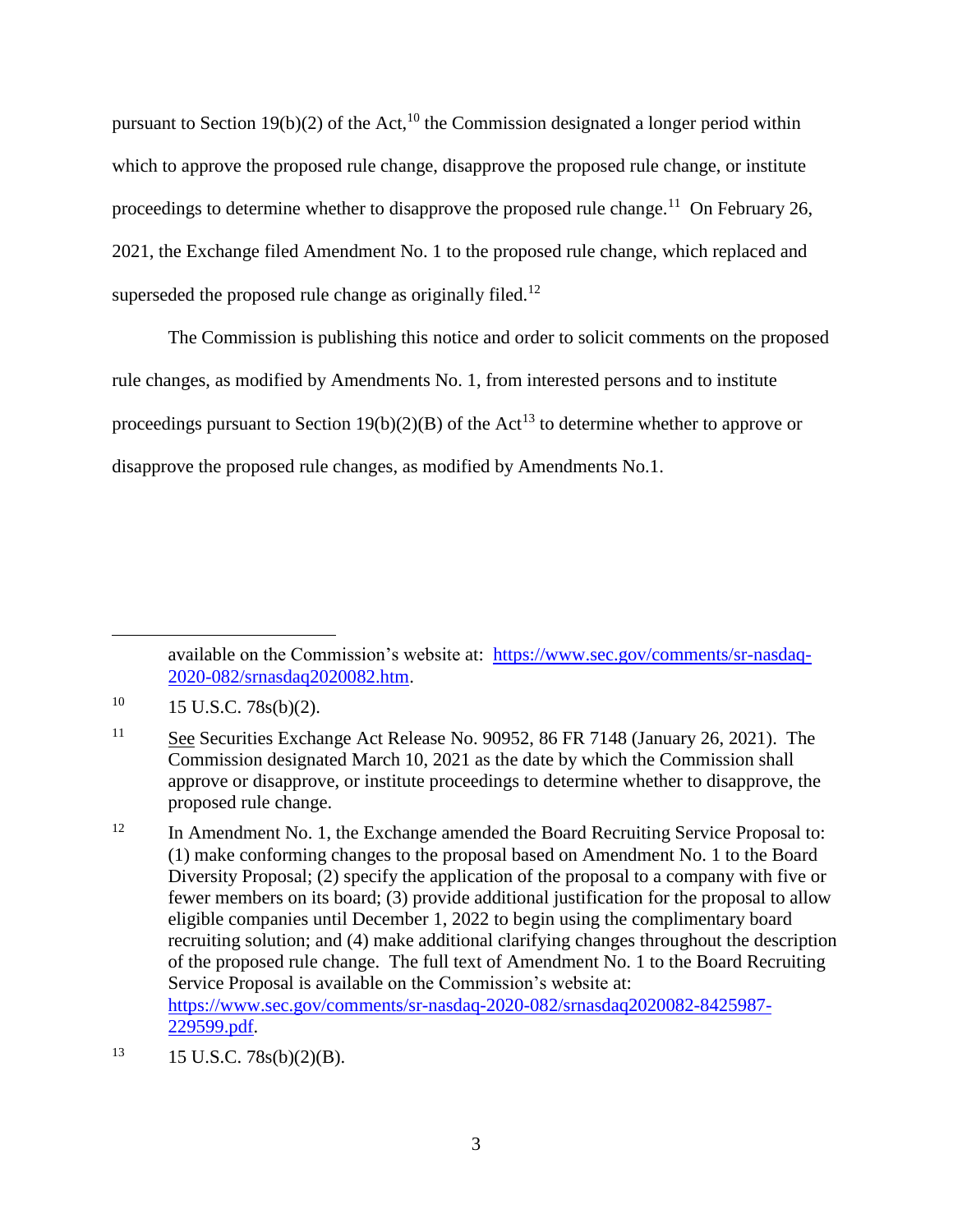pursuant to Section 19(b)(2) of the Act,<sup>10</sup> the Commission designated a longer period within which to approve the proposed rule change, disapprove the proposed rule change, or institute proceedings to determine whether to disapprove the proposed rule change.<sup>11</sup> On February 26, 2021, the Exchange filed Amendment No. 1 to the proposed rule change, which replaced and superseded the proposed rule change as originally filed.<sup>12</sup>

The Commission is publishing this notice and order to solicit comments on the proposed rule changes, as modified by Amendments No. 1, from interested persons and to institute proceedings pursuant to Section 19(b)(2)(B) of the Act<sup>13</sup> to determine whether to approve or disapprove the proposed rule changes, as modified by Amendments No.1.

available on the Commission's website at: [https://www.sec.gov/comments/sr-nasdaq-](https://www.sec.gov/comments/sr-nasdaq-2020-082/srnasdaq2020082.htm)[2020-082/srnasdaq2020082.htm.](https://www.sec.gov/comments/sr-nasdaq-2020-082/srnasdaq2020082.htm)

 $10 \qquad 15 \text{ U.S.C. } 78\text{s(b)}(2).$ 

<sup>11</sup> See Securities Exchange Act Release No. 90952, 86 FR 7148 (January 26, 2021). The Commission designated March 10, 2021 as the date by which the Commission shall approve or disapprove, or institute proceedings to determine whether to disapprove, the proposed rule change.

<sup>&</sup>lt;sup>12</sup> In Amendment No. 1, the Exchange amended the Board Recruiting Service Proposal to: (1) make conforming changes to the proposal based on Amendment No. 1 to the Board Diversity Proposal; (2) specify the application of the proposal to a company with five or fewer members on its board; (3) provide additional justification for the proposal to allow eligible companies until December 1, 2022 to begin using the complimentary board recruiting solution; and (4) make additional clarifying changes throughout the description of the proposed rule change. The full text of Amendment No. 1 to the Board Recruiting Service Proposal is available on the Commission's website at: [https://www.sec.gov/comments/sr-nasdaq-2020-082/srnasdaq2020082-8425987-](https://www.sec.gov/comments/sr-nasdaq-2020-082/srnasdaq2020082-8425987-229599.pdf) [229599.pdf.](https://www.sec.gov/comments/sr-nasdaq-2020-082/srnasdaq2020082-8425987-229599.pdf)

 $13$  15 U.S.C. 78s(b)(2)(B).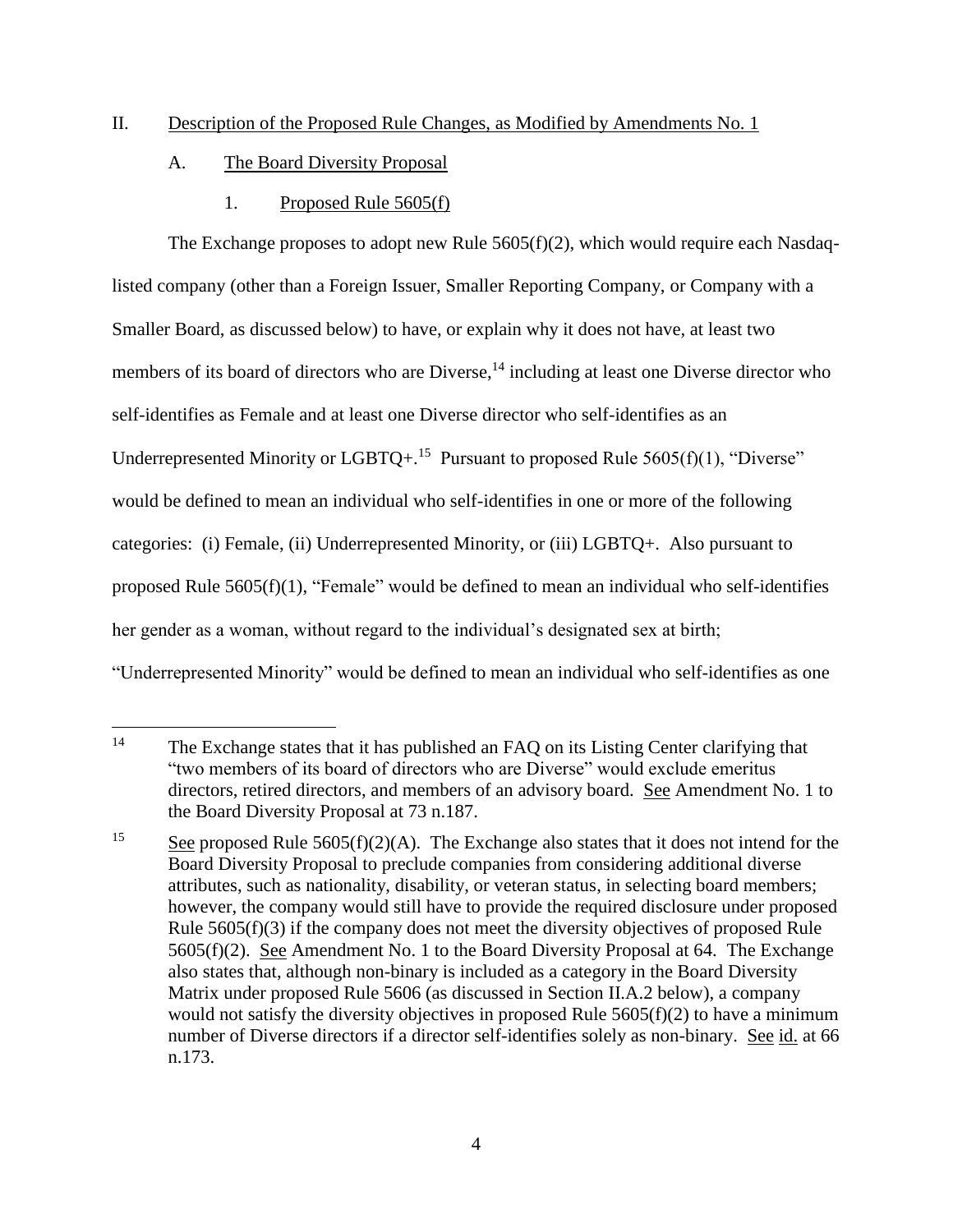## II. Description of the Proposed Rule Changes, as Modified by Amendments No. 1

- A. The Board Diversity Proposal
	- 1. Proposed Rule 5605(f)

The Exchange proposes to adopt new Rule 5605(f)(2), which would require each Nasdaqlisted company (other than a Foreign Issuer, Smaller Reporting Company, or Company with a Smaller Board, as discussed below) to have, or explain why it does not have, at least two members of its board of directors who are Diverse,<sup>14</sup> including at least one Diverse director who self-identifies as Female and at least one Diverse director who self-identifies as an Underrepresented Minority or LGBTQ+.<sup>15</sup> Pursuant to proposed Rule 5605(f)(1), "Diverse" would be defined to mean an individual who self-identifies in one or more of the following categories: (i) Female, (ii) Underrepresented Minority, or (iii) LGBTQ+. Also pursuant to proposed Rule 5605(f)(1), "Female" would be defined to mean an individual who self-identifies her gender as a woman, without regard to the individual's designated sex at birth; "Underrepresented Minority" would be defined to mean an individual who self-identifies as one

 $\overline{a}$ <sup>14</sup> The Exchange states that it has published an FAQ on its Listing Center clarifying that "two members of its board of directors who are Diverse" would exclude emeritus directors, retired directors, and members of an advisory board. See Amendment No. 1 to the Board Diversity Proposal at 73 n.187.

<sup>&</sup>lt;sup>15</sup> See proposed Rule 5605(f)(2)(A). The Exchange also states that it does not intend for the Board Diversity Proposal to preclude companies from considering additional diverse attributes, such as nationality, disability, or veteran status, in selecting board members; however, the company would still have to provide the required disclosure under proposed Rule 5605(f)(3) if the company does not meet the diversity objectives of proposed Rule 5605(f)(2). See Amendment No. 1 to the Board Diversity Proposal at 64. The Exchange also states that, although non-binary is included as a category in the Board Diversity Matrix under proposed Rule 5606 (as discussed in Section II.A.2 below), a company would not satisfy the diversity objectives in proposed Rule  $5605(f)(2)$  to have a minimum number of Diverse directors if a director self-identifies solely as non-binary. See id. at 66 n.173.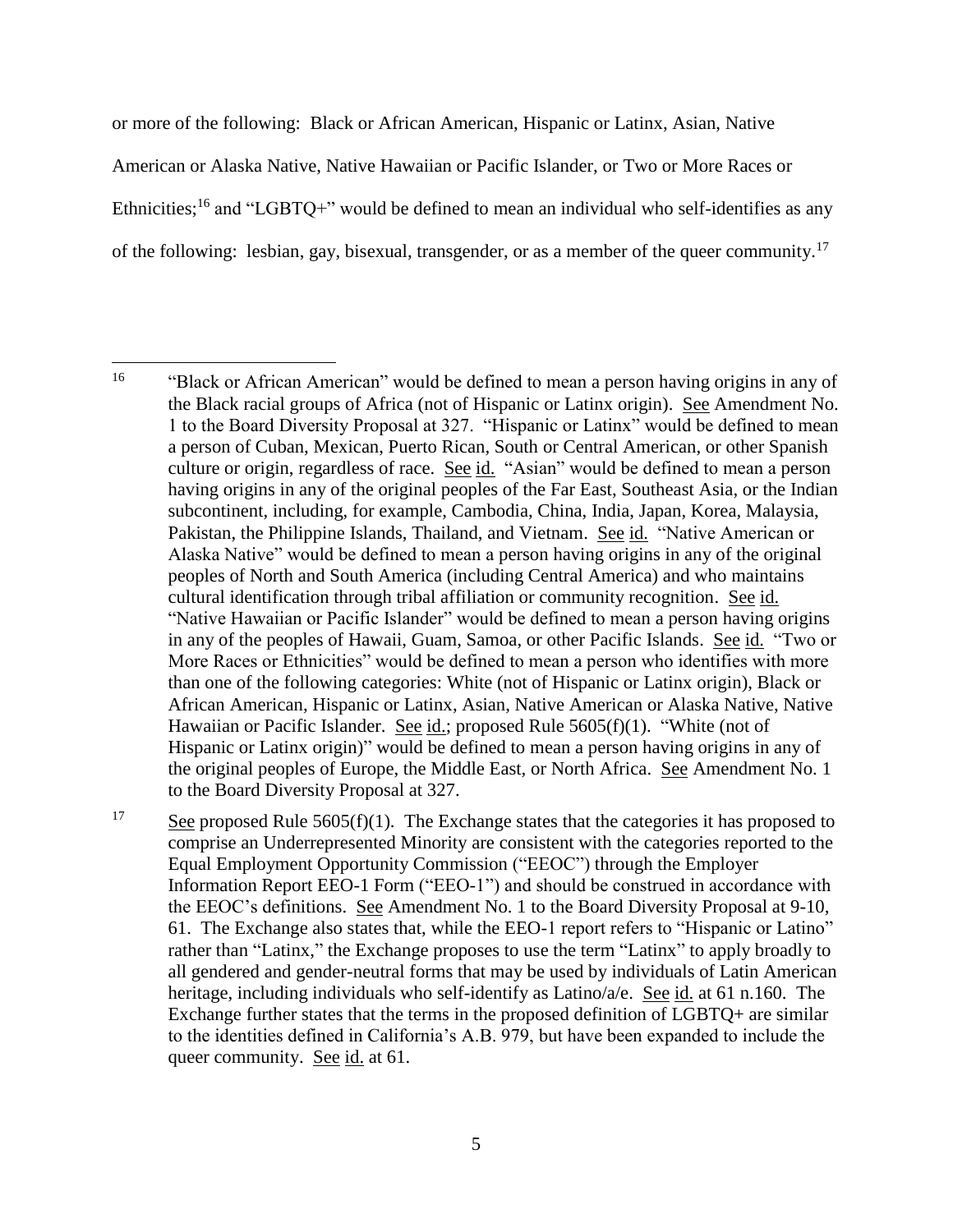or more of the following: Black or African American, Hispanic or Latinx, Asian, Native American or Alaska Native, Native Hawaiian or Pacific Islander, or Two or More Races or Ethnicities;<sup>16</sup> and "LGBTQ+" would be defined to mean an individual who self-identifies as any of the following: lesbian, gay, bisexual, transgender, or as a member of the queer community.<sup>17</sup>

<span id="page-4-0"></span><sup>16</sup> <sup>16</sup> "Black or African American" would be defined to mean a person having origins in any of the Black racial groups of Africa (not of Hispanic or Latinx origin). See Amendment No. 1 to the Board Diversity Proposal at 327. "Hispanic or Latinx" would be defined to mean a person of Cuban, Mexican, Puerto Rican, South or Central American, or other Spanish culture or origin, regardless of race. See id. "Asian" would be defined to mean a person having origins in any of the original peoples of the Far East, Southeast Asia, or the Indian subcontinent, including, for example, Cambodia, China, India, Japan, Korea, Malaysia, Pakistan, the Philippine Islands, Thailand, and Vietnam. See id. "Native American or Alaska Native" would be defined to mean a person having origins in any of the original peoples of North and South America (including Central America) and who maintains cultural identification through tribal affiliation or community recognition. See id. "Native Hawaiian or Pacific Islander" would be defined to mean a person having origins in any of the peoples of Hawaii, Guam, Samoa, or other Pacific Islands. See id. "Two or More Races or Ethnicities" would be defined to mean a person who identifies with more than one of the following categories: White (not of Hispanic or Latinx origin), Black or African American, Hispanic or Latinx, Asian, Native American or Alaska Native, Native Hawaiian or Pacific Islander. See id.; proposed Rule 5605(f)(1). "White (not of Hispanic or Latinx origin)" would be defined to mean a person having origins in any of the original peoples of Europe, the Middle East, or North Africa. See Amendment No. 1 to the Board Diversity Proposal at 327.

 $\frac{17}{17}$  See proposed Rule 5605(f)(1). The Exchange states that the categories it has proposed to comprise an Underrepresented Minority are consistent with the categories reported to the Equal Employment Opportunity Commission ("EEOC") through the Employer Information Report EEO-1 Form ("EEO-1") and should be construed in accordance with the EEOC's definitions. See Amendment No. 1 to the Board Diversity Proposal at 9-10, 61. The Exchange also states that, while the EEO-1 report refers to "Hispanic or Latino" rather than "Latinx," the Exchange proposes to use the term "Latinx" to apply broadly to all gendered and gender-neutral forms that may be used by individuals of Latin American heritage, including individuals who self-identify as Latino/a/e. See id. at 61 n.160. The Exchange further states that the terms in the proposed definition of LGBTQ+ are similar to the identities defined in California's A.B. 979, but have been expanded to include the queer community. See id. at 61.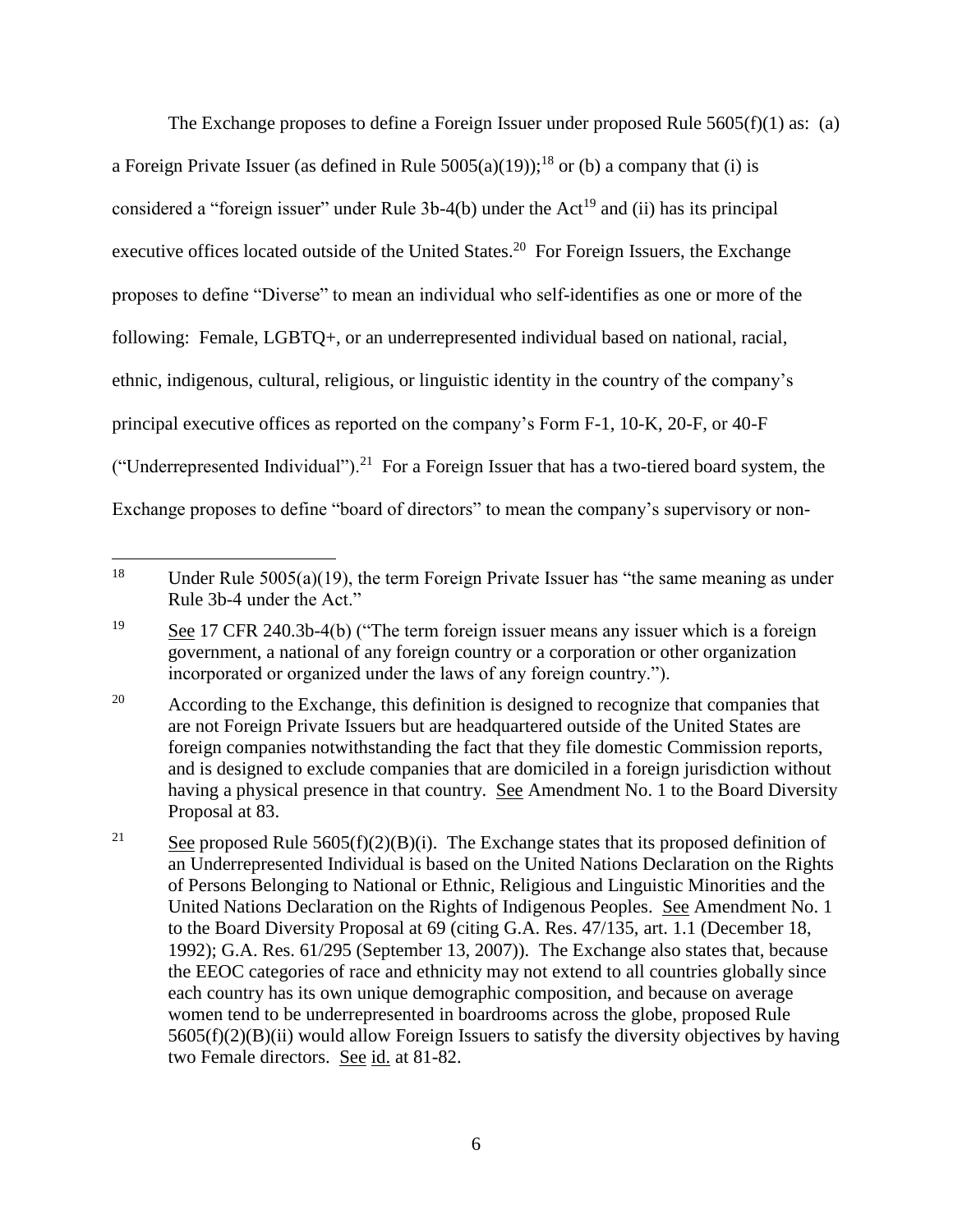The Exchange proposes to define a Foreign Issuer under proposed Rule  $5605(f)(1)$  as: (a) a Foreign Private Issuer (as defined in Rule  $5005(a)(19)$ );<sup>18</sup> or (b) a company that (i) is considered a "foreign issuer" under Rule  $3b-4(b)$  under the Act<sup>19</sup> and (ii) has its principal executive offices located outside of the United States.<sup>20</sup> For Foreign Issuers, the Exchange proposes to define "Diverse" to mean an individual who self-identifies as one or more of the following: Female, LGBTQ+, or an underrepresented individual based on national, racial, ethnic, indigenous, cultural, religious, or linguistic identity in the country of the company's principal executive offices as reported on the company's Form F-1, 10-K, 20-F, or 40-F ("Underrepresented Individual").<sup>21</sup> For a Foreign Issuer that has a two-tiered board system, the Exchange proposes to define "board of directors" to mean the company's supervisory or non-

<sup>18</sup> Under Rule  $5005(a)(19)$ , the term Foreign Private Issuer has "the same meaning as under Rule 3b-4 under the Act."

 $19$  See 17 CFR 240.3b-4(b) ("The term foreign issuer means any issuer which is a foreign government, a national of any foreign country or a corporation or other organization incorporated or organized under the laws of any foreign country.").

 $20$  According to the Exchange, this definition is designed to recognize that companies that are not Foreign Private Issuers but are headquartered outside of the United States are foreign companies notwithstanding the fact that they file domestic Commission reports, and is designed to exclude companies that are domiciled in a foreign jurisdiction without having a physical presence in that country. See Amendment No. 1 to the Board Diversity Proposal at 83.

<sup>&</sup>lt;sup>21</sup> See proposed Rule 5605(f)(2)(B)(i). The Exchange states that its proposed definition of an Underrepresented Individual is based on the United Nations Declaration on the Rights of Persons Belonging to National or Ethnic, Religious and Linguistic Minorities and the United Nations Declaration on the Rights of Indigenous Peoples. See Amendment No. 1 to the Board Diversity Proposal at 69 (citing G.A. Res. 47/135, art. 1.1 (December 18, 1992); G.A. Res. 61/295 (September 13, 2007)). The Exchange also states that, because the EEOC categories of race and ethnicity may not extend to all countries globally since each country has its own unique demographic composition, and because on average women tend to be underrepresented in boardrooms across the globe, proposed Rule 5605(f)(2)(B)(ii) would allow Foreign Issuers to satisfy the diversity objectives by having two Female directors. See id. at 81-82.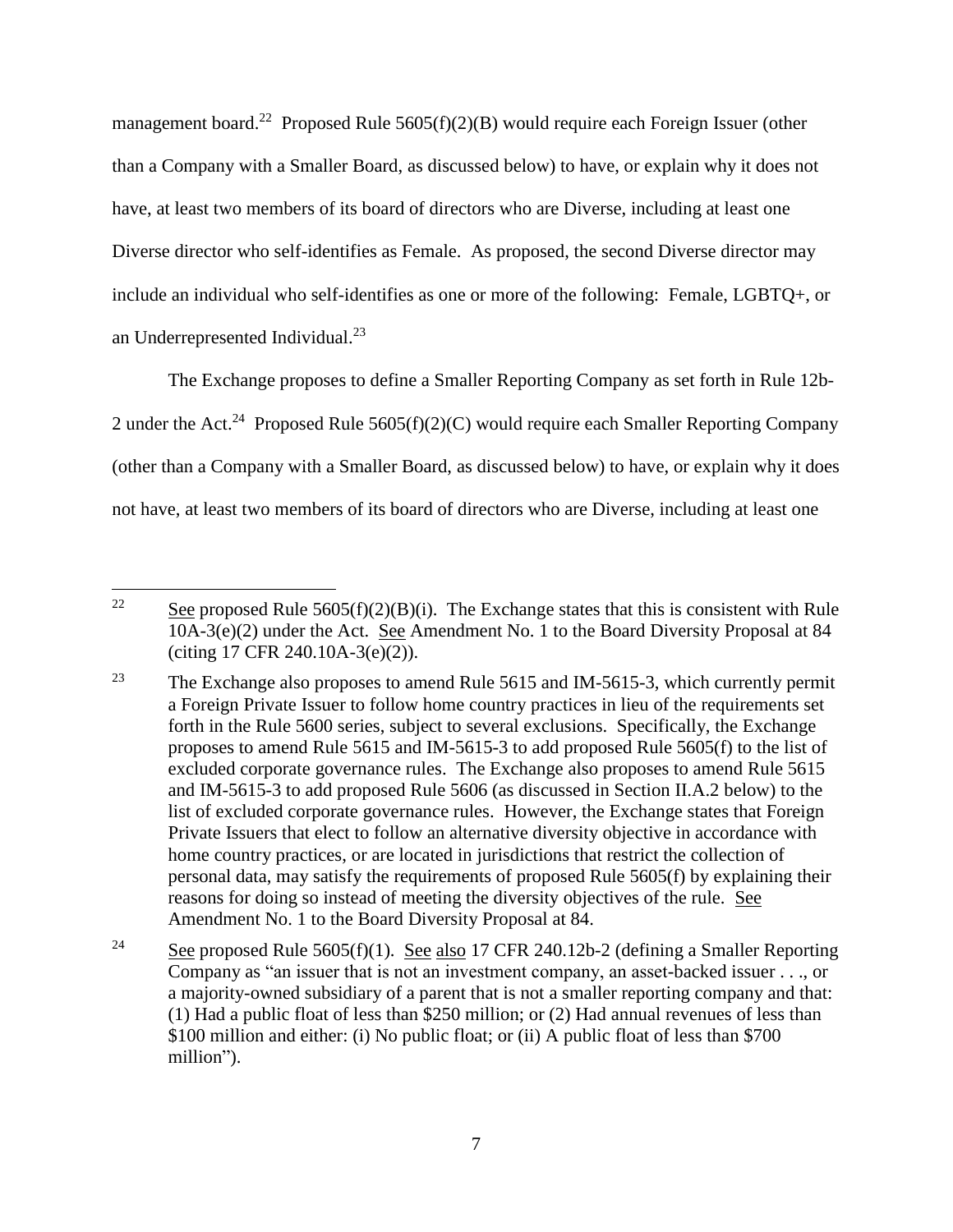management board.<sup>22</sup> Proposed Rule  $5605(f)(2)(B)$  would require each Foreign Issuer (other than a Company with a Smaller Board, as discussed below) to have, or explain why it does not have, at least two members of its board of directors who are Diverse, including at least one Diverse director who self-identifies as Female. As proposed, the second Diverse director may include an individual who self-identifies as one or more of the following: Female, LGBTQ+, or an Underrepresented Individual.<sup>23</sup>

The Exchange proposes to define a Smaller Reporting Company as set forth in Rule 12b-2 under the Act.<sup>24</sup> Proposed Rule 5605(f)(2)(C) would require each Smaller Reporting Company (other than a Company with a Smaller Board, as discussed below) to have, or explain why it does not have, at least two members of its board of directors who are Diverse, including at least one

 $\overline{a}$ <sup>22</sup> See proposed Rule 5605(f)(2)(B)(i). The Exchange states that this is consistent with Rule 10A-3(e)(2) under the Act. See Amendment No. 1 to the Board Diversity Proposal at 84 (citing 17 CFR 240.10A-3(e)(2)).

<sup>&</sup>lt;sup>23</sup> The Exchange also proposes to amend Rule  $5615$  and IM-5615-3, which currently permit a Foreign Private Issuer to follow home country practices in lieu of the requirements set forth in the Rule 5600 series, subject to several exclusions. Specifically, the Exchange proposes to amend Rule 5615 and IM-5615-3 to add proposed Rule 5605(f) to the list of excluded corporate governance rules. The Exchange also proposes to amend Rule 5615 and IM-5615-3 to add proposed Rule 5606 (as discussed in Section II.A.2 below) to the list of excluded corporate governance rules. However, the Exchange states that Foreign Private Issuers that elect to follow an alternative diversity objective in accordance with home country practices, or are located in jurisdictions that restrict the collection of personal data, may satisfy the requirements of proposed Rule 5605(f) by explaining their reasons for doing so instead of meeting the diversity objectives of the rule. See Amendment No. 1 to the Board Diversity Proposal at 84.

<sup>&</sup>lt;sup>24</sup> See proposed Rule 5605(f)(1). See also 17 CFR 240.12b-2 (defining a Smaller Reporting Company as "an issuer that is not an investment company, an asset-backed issuer . . ., or a majority-owned subsidiary of a parent that is not a smaller reporting company and that: (1) Had a public float of less than \$250 million; or (2) Had annual revenues of less than \$100 million and either: (i) No public float; or (ii) A public float of less than \$700 million").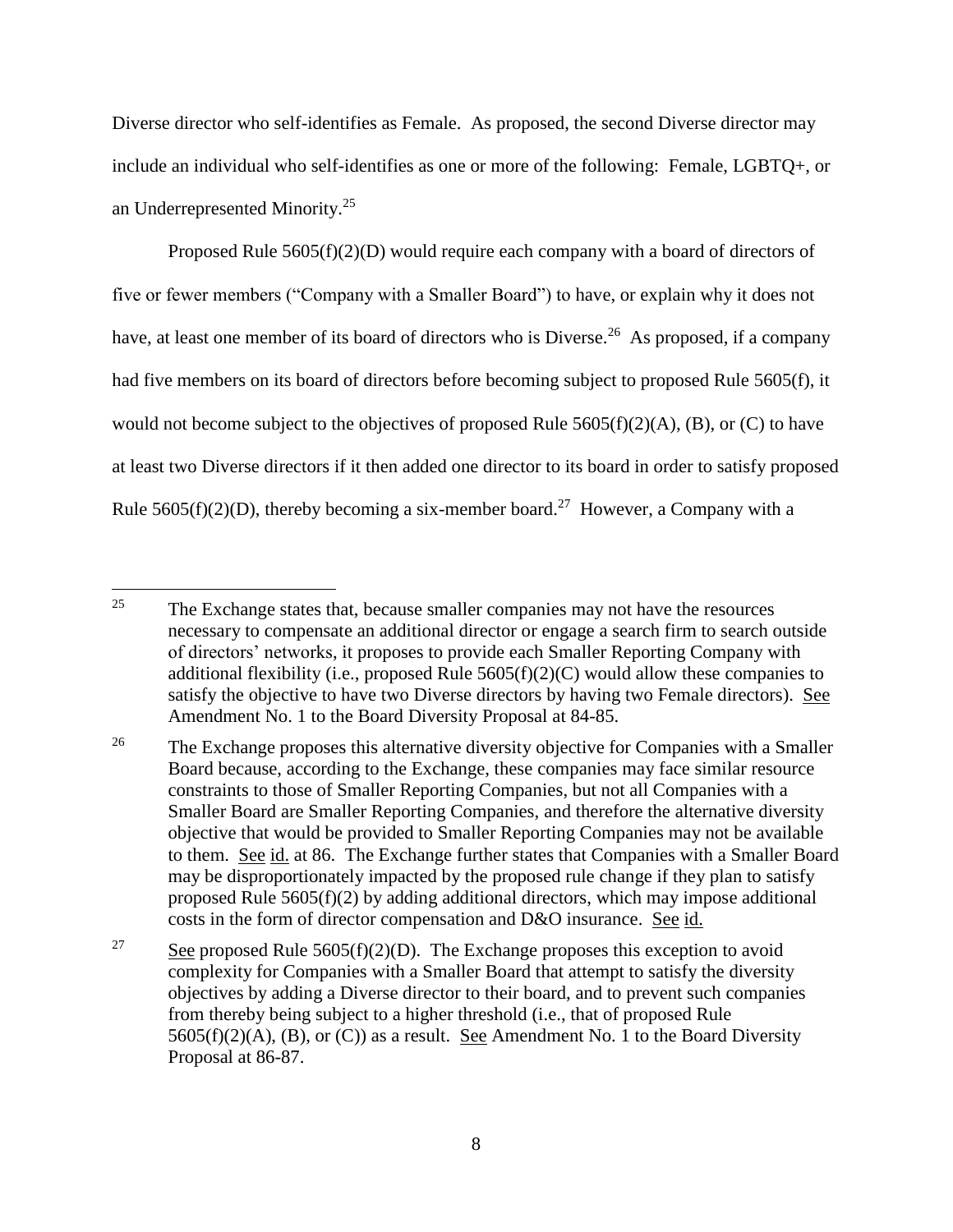Diverse director who self-identifies as Female. As proposed, the second Diverse director may include an individual who self-identifies as one or more of the following: Female, LGBTQ+, or an Underrepresented Minority.<sup>25</sup>

Proposed Rule  $5605(f)(2)(D)$  would require each company with a board of directors of five or fewer members ("Company with a Smaller Board") to have, or explain why it does not have, at least one member of its board of directors who is Diverse.<sup>26</sup> As proposed, if a company had five members on its board of directors before becoming subject to proposed Rule 5605(f), it would not become subject to the objectives of proposed Rule  $5605(f)(2)(A)$ , (B), or (C) to have at least two Diverse directors if it then added one director to its board in order to satisfy proposed Rule 5605(f)(2)(D), thereby becoming a six-member board.<sup>27</sup> However, a Company with a

 $\overline{a}$ <sup>25</sup> The Exchange states that, because smaller companies may not have the resources necessary to compensate an additional director or engage a search firm to search outside of directors' networks, it proposes to provide each Smaller Reporting Company with additional flexibility (i.e., proposed Rule  $5605(f)(2)(C)$  would allow these companies to satisfy the objective to have two Diverse directors by having two Female directors). See Amendment No. 1 to the Board Diversity Proposal at 84-85.

<sup>&</sup>lt;sup>26</sup> The Exchange proposes this alternative diversity objective for Companies with a Smaller Board because, according to the Exchange, these companies may face similar resource constraints to those of Smaller Reporting Companies, but not all Companies with a Smaller Board are Smaller Reporting Companies, and therefore the alternative diversity objective that would be provided to Smaller Reporting Companies may not be available to them. See id. at 86. The Exchange further states that Companies with a Smaller Board may be disproportionately impacted by the proposed rule change if they plan to satisfy proposed Rule 5605(f)(2) by adding additional directors, which may impose additional costs in the form of director compensation and D&O insurance. See id.

<sup>&</sup>lt;sup>27</sup> See proposed Rule 5605(f)(2)(D). The Exchange proposes this exception to avoid complexity for Companies with a Smaller Board that attempt to satisfy the diversity objectives by adding a Diverse director to their board, and to prevent such companies from thereby being subject to a higher threshold (i.e., that of proposed Rule  $5605(f)(2)(A)$ , (B), or (C)) as a result. See Amendment No. 1 to the Board Diversity Proposal at 86-87.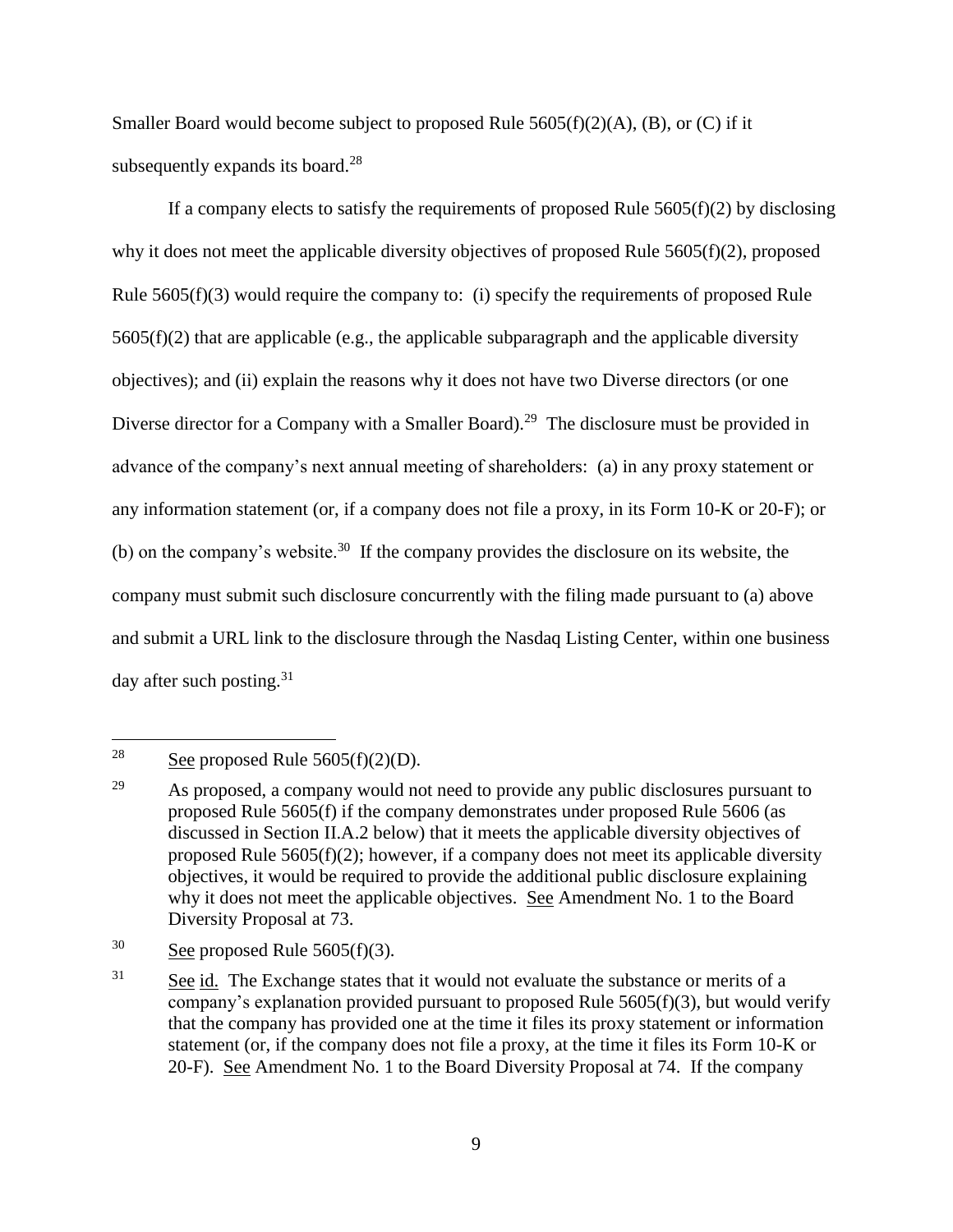Smaller Board would become subject to proposed Rule  $5605(f)(2)(A)$ , (B), or (C) if it subsequently expands its board.<sup>28</sup>

If a company elects to satisfy the requirements of proposed Rule  $5605(f)(2)$  by disclosing why it does not meet the applicable diversity objectives of proposed Rule 5605(f)(2), proposed Rule 5605(f)(3) would require the company to: (i) specify the requirements of proposed Rule  $5605(f)(2)$  that are applicable (e.g., the applicable subparagraph and the applicable diversity objectives); and (ii) explain the reasons why it does not have two Diverse directors (or one Diverse director for a Company with a Smaller Board).<sup>29</sup> The disclosure must be provided in advance of the company's next annual meeting of shareholders: (a) in any proxy statement or any information statement (or, if a company does not file a proxy, in its Form 10-K or 20-F); or (b) on the company's website.<sup>30</sup> If the company provides the disclosure on its website, the company must submit such disclosure concurrently with the filing made pursuant to (a) above and submit a URL link to the disclosure through the Nasdaq Listing Center, within one business day after such posting.<sup>31</sup>

<span id="page-8-1"></span><span id="page-8-0"></span><sup>28</sup> See proposed Rule  $5605(f)(2)(D)$ .

 $29$  As proposed, a company would not need to provide any public disclosures pursuant to proposed Rule 5605(f) if the company demonstrates under proposed Rule 5606 (as discussed in Section II.A.2 below) that it meets the applicable diversity objectives of proposed Rule 5605(f)(2); however, if a company does not meet its applicable diversity objectives, it would be required to provide the additional public disclosure explaining why it does not meet the applicable objectives. See Amendment No. 1 to the Board Diversity Proposal at 73.

<sup>&</sup>lt;sup>30</sup> See proposed Rule  $5605(f)(3)$ .

 $31$  See id. The Exchange states that it would not evaluate the substance or merits of a company's explanation provided pursuant to proposed Rule 5605(f)(3), but would verify that the company has provided one at the time it files its proxy statement or information statement (or, if the company does not file a proxy, at the time it files its Form 10-K or 20-F). See Amendment No. 1 to the Board Diversity Proposal at 74. If the company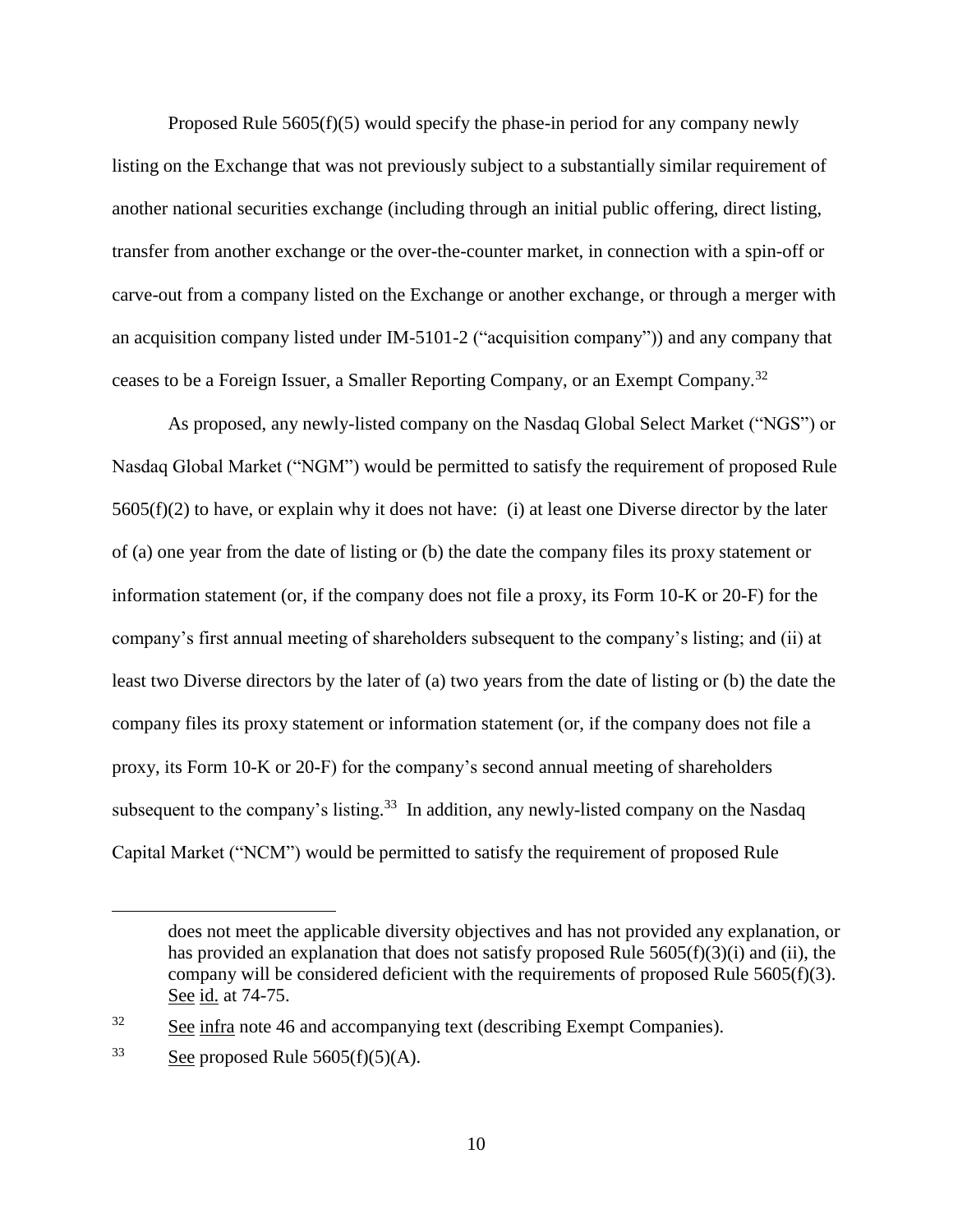Proposed Rule 5605(f)(5) would specify the phase-in period for any company newly listing on the Exchange that was not previously subject to a substantially similar requirement of another national securities exchange (including through an initial public offering, direct listing, transfer from another exchange or the over-the-counter market, in connection with a spin-off or carve-out from a company listed on the Exchange or another exchange, or through a merger with an acquisition company listed under IM-5101-2 ("acquisition company")) and any company that ceases to be a Foreign Issuer, a Smaller Reporting Company, or an Exempt Company.<sup>32</sup>

As proposed, any newly-listed company on the Nasdaq Global Select Market ("NGS") or Nasdaq Global Market ("NGM") would be permitted to satisfy the requirement of proposed Rule  $5605(f)(2)$  to have, or explain why it does not have: (i) at least one Diverse director by the later of (a) one year from the date of listing or (b) the date the company files its proxy statement or information statement (or, if the company does not file a proxy, its Form 10-K or 20-F) for the company's first annual meeting of shareholders subsequent to the company's listing; and (ii) at least two Diverse directors by the later of (a) two years from the date of listing or (b) the date the company files its proxy statement or information statement (or, if the company does not file a proxy, its Form 10-K or 20-F) for the company's second annual meeting of shareholders subsequent to the company's listing.<sup>33</sup> In addition, any newly-listed company on the Nasdaq Capital Market ("NCM") would be permitted to satisfy the requirement of proposed Rule

does not meet the applicable diversity objectives and has not provided any explanation, or has provided an explanation that does not satisfy proposed Rule 5605(f)(3)(i) and (ii), the company will be considered deficient with the requirements of proposed Rule 5605(f)(3). See id. at 74-75.

<sup>&</sup>lt;sup>32</sup> See infra note [46](#page-14-0) and accompanying text (describing Exempt Companies).

 $33$  See proposed Rule 5605(f)(5)(A).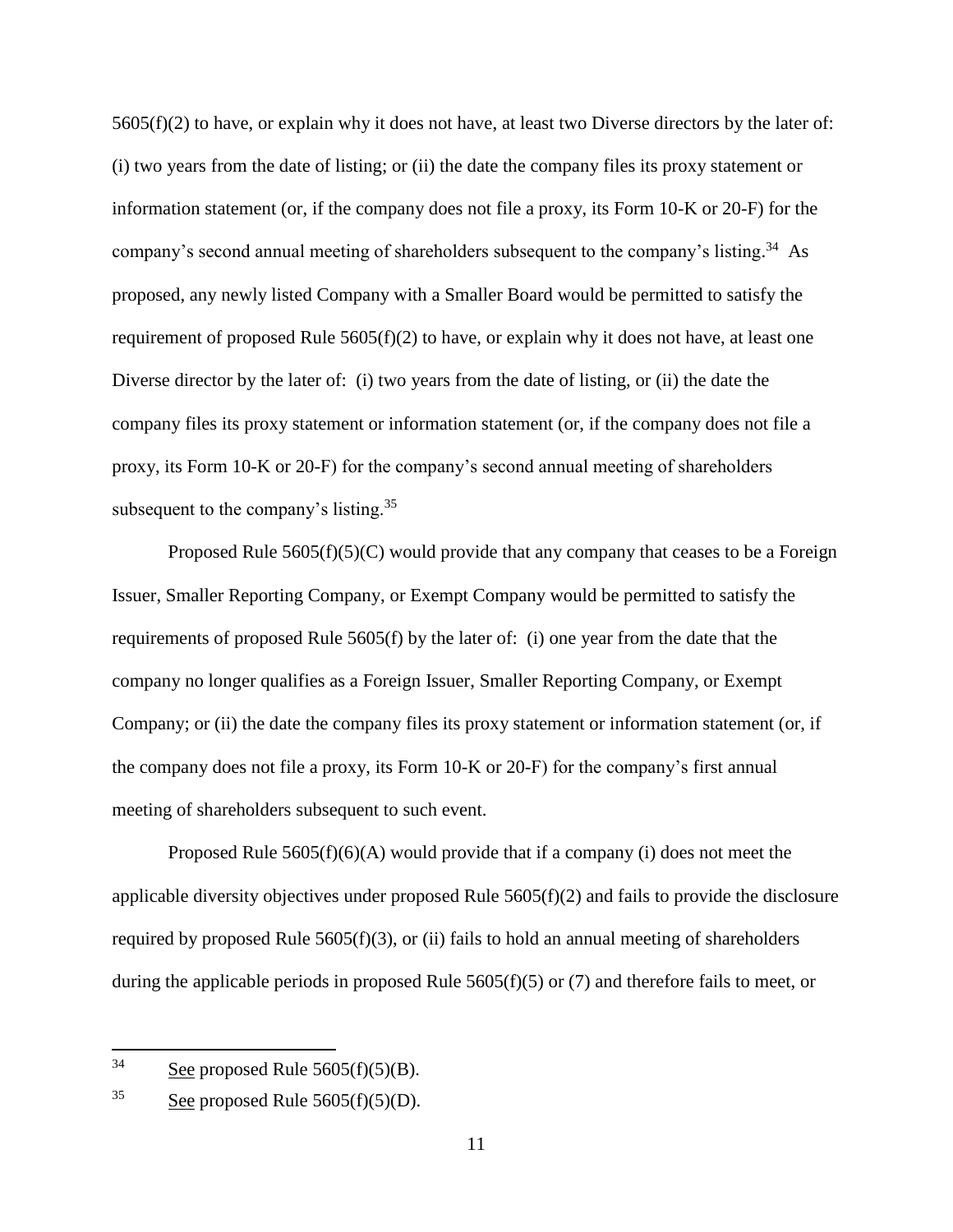$5605(f)(2)$  to have, or explain why it does not have, at least two Diverse directors by the later of: (i) two years from the date of listing; or (ii) the date the company files its proxy statement or information statement (or, if the company does not file a proxy, its Form 10-K or 20-F) for the company's second annual meeting of shareholders subsequent to the company's listing.<sup>34</sup> As proposed, any newly listed Company with a Smaller Board would be permitted to satisfy the requirement of proposed Rule  $5605(f)(2)$  to have, or explain why it does not have, at least one Diverse director by the later of: (i) two years from the date of listing, or (ii) the date the company files its proxy statement or information statement (or, if the company does not file a proxy, its Form 10-K or 20-F) for the company's second annual meeting of shareholders subsequent to the company's listing. $35$ 

Proposed Rule  $5605(f)(5)(C)$  would provide that any company that ceases to be a Foreign Issuer, Smaller Reporting Company, or Exempt Company would be permitted to satisfy the requirements of proposed Rule 5605(f) by the later of: (i) one year from the date that the company no longer qualifies as a Foreign Issuer, Smaller Reporting Company, or Exempt Company; or (ii) the date the company files its proxy statement or information statement (or, if the company does not file a proxy, its Form 10-K or 20-F) for the company's first annual meeting of shareholders subsequent to such event.

Proposed Rule  $5605(f)(6)(A)$  would provide that if a company (i) does not meet the applicable diversity objectives under proposed Rule 5605(f)(2) and fails to provide the disclosure required by proposed Rule  $5605(f)(3)$ , or (ii) fails to hold an annual meeting of shareholders during the applicable periods in proposed Rule 5605(f)(5) or (7) and therefore fails to meet, or

 $34$  See proposed Rule 5605(f)(5)(B).

<sup>&</sup>lt;sup>35</sup> See proposed Rule  $5605(f)(5)(D)$ .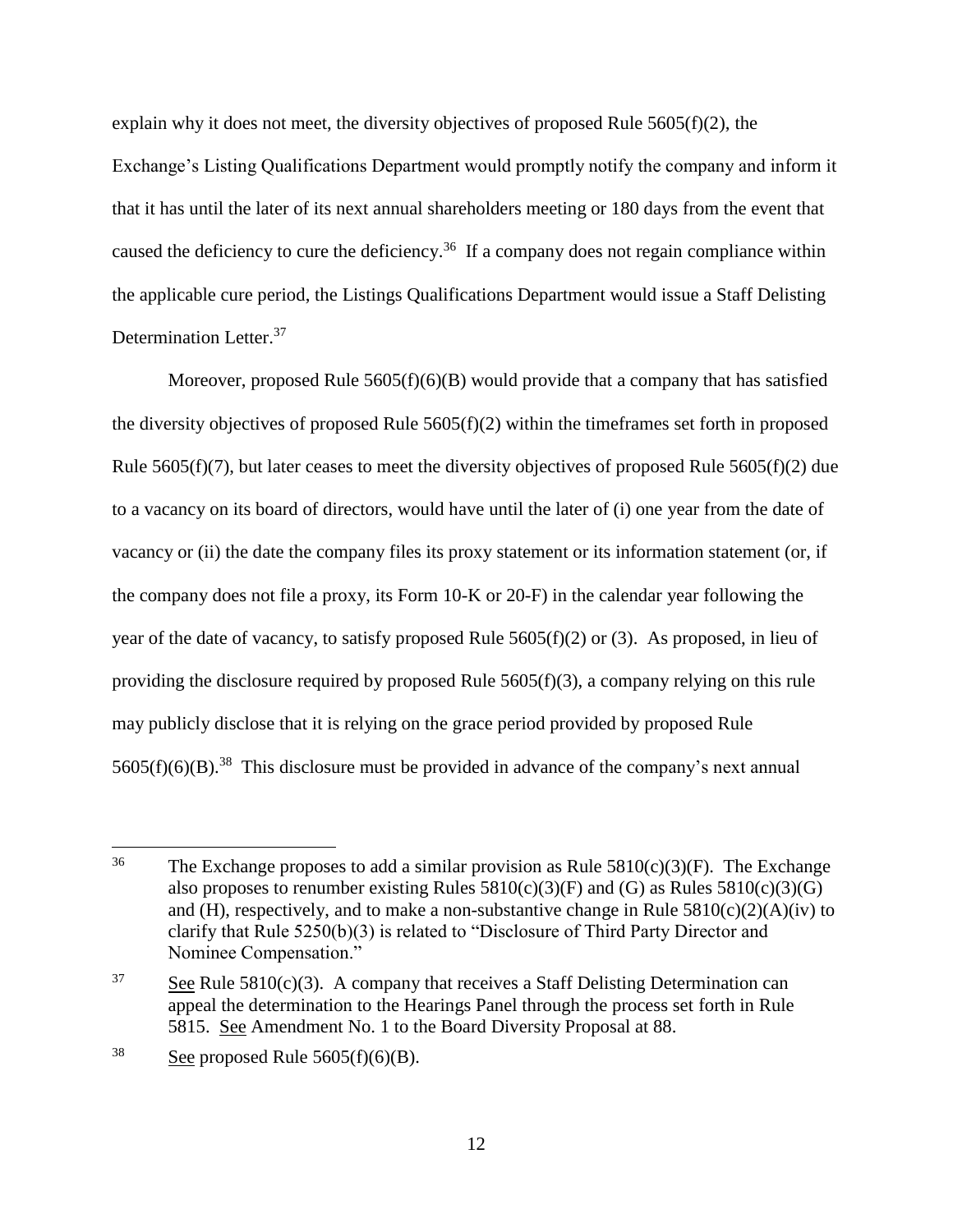explain why it does not meet, the diversity objectives of proposed Rule  $5605(f)(2)$ , the Exchange's Listing Qualifications Department would promptly notify the company and inform it that it has until the later of its next annual shareholders meeting or 180 days from the event that caused the deficiency to cure the deficiency.<sup>36</sup> If a company does not regain compliance within the applicable cure period, the Listings Qualifications Department would issue a Staff Delisting Determination Letter.<sup>37</sup>

Moreover, proposed Rule  $5605(f)(6)(B)$  would provide that a company that has satisfied the diversity objectives of proposed Rule 5605(f)(2) within the timeframes set forth in proposed Rule  $5605(f)(7)$ , but later ceases to meet the diversity objectives of proposed Rule  $5605(f)(2)$  due to a vacancy on its board of directors, would have until the later of (i) one year from the date of vacancy or (ii) the date the company files its proxy statement or its information statement (or, if the company does not file a proxy, its Form 10-K or 20-F) in the calendar year following the year of the date of vacancy, to satisfy proposed Rule 5605(f)(2) or (3). As proposed, in lieu of providing the disclosure required by proposed Rule 5605(f)(3), a company relying on this rule may publicly disclose that it is relying on the grace period provided by proposed Rule  $5605(f)(6)(B).$ <sup>38</sup> This disclosure must be provided in advance of the company's next annual

<sup>&</sup>lt;sup>36</sup> The Exchange proposes to add a similar provision as Rule  $5810(c)(3)(F)$ . The Exchange also proposes to renumber existing Rules  $5810(c)(3)(F)$  and  $(G)$  as Rules  $5810(c)(3)(G)$ and (H), respectively, and to make a non-substantive change in Rule  $5810(c)(2)(A)(iv)$  to clarify that Rule 5250(b)(3) is related to "Disclosure of Third Party Director and Nominee Compensation."

<sup>&</sup>lt;sup>37</sup> See Rule 5810(c)(3). A company that receives a Staff Delisting Determination can appeal the determination to the Hearings Panel through the process set forth in Rule 5815. See Amendment No. 1 to the Board Diversity Proposal at 88.

<sup>&</sup>lt;sup>38</sup> See proposed Rule  $5605(f)(6)(B)$ .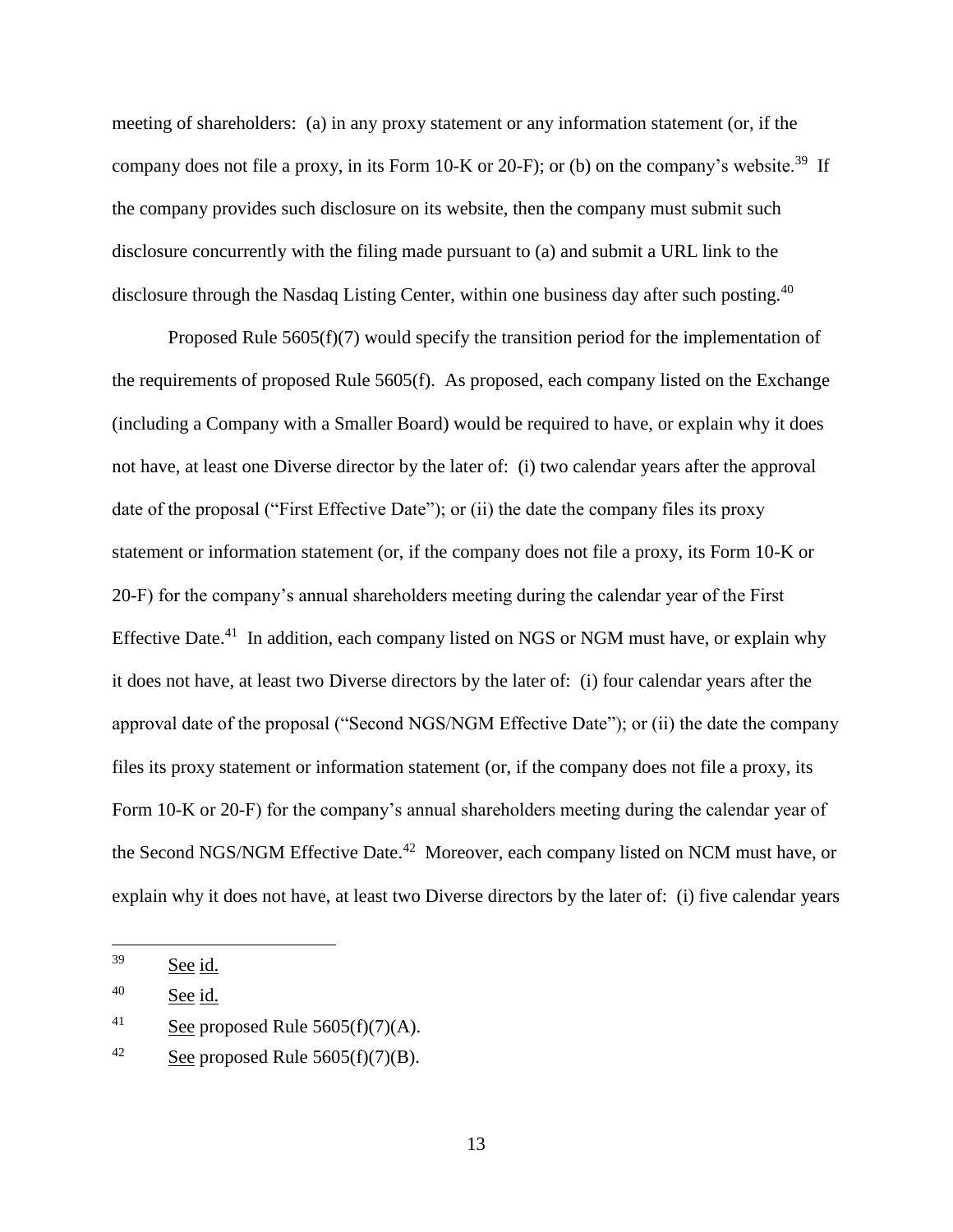meeting of shareholders: (a) in any proxy statement or any information statement (or, if the company does not file a proxy, in its Form 10-K or 20-F); or (b) on the company's website.<sup>39</sup> If the company provides such disclosure on its website, then the company must submit such disclosure concurrently with the filing made pursuant to (a) and submit a URL link to the disclosure through the Nasdaq Listing Center, within one business day after such posting.<sup>40</sup>

Proposed Rule 5605(f)(7) would specify the transition period for the implementation of the requirements of proposed Rule 5605(f). As proposed, each company listed on the Exchange (including a Company with a Smaller Board) would be required to have, or explain why it does not have, at least one Diverse director by the later of: (i) two calendar years after the approval date of the proposal ("First Effective Date"); or (ii) the date the company files its proxy statement or information statement (or, if the company does not file a proxy, its Form 10-K or 20-F) for the company's annual shareholders meeting during the calendar year of the First Effective Date.<sup>41</sup> In addition, each company listed on NGS or NGM must have, or explain why it does not have, at least two Diverse directors by the later of: (i) four calendar years after the approval date of the proposal ("Second NGS/NGM Effective Date"); or (ii) the date the company files its proxy statement or information statement (or, if the company does not file a proxy, its Form 10-K or 20-F) for the company's annual shareholders meeting during the calendar year of the Second NGS/NGM Effective Date.<sup>42</sup> Moreover, each company listed on NCM must have, or explain why it does not have, at least two Diverse directors by the later of: (i) five calendar years

<sup>39</sup> See id.

<sup>40</sup> See id.

<sup>&</sup>lt;sup>41</sup> See proposed Rule  $5605(f)(7)(A)$ .

<sup>&</sup>lt;sup>42</sup> See proposed Rule  $5605(f)(7)(B)$ .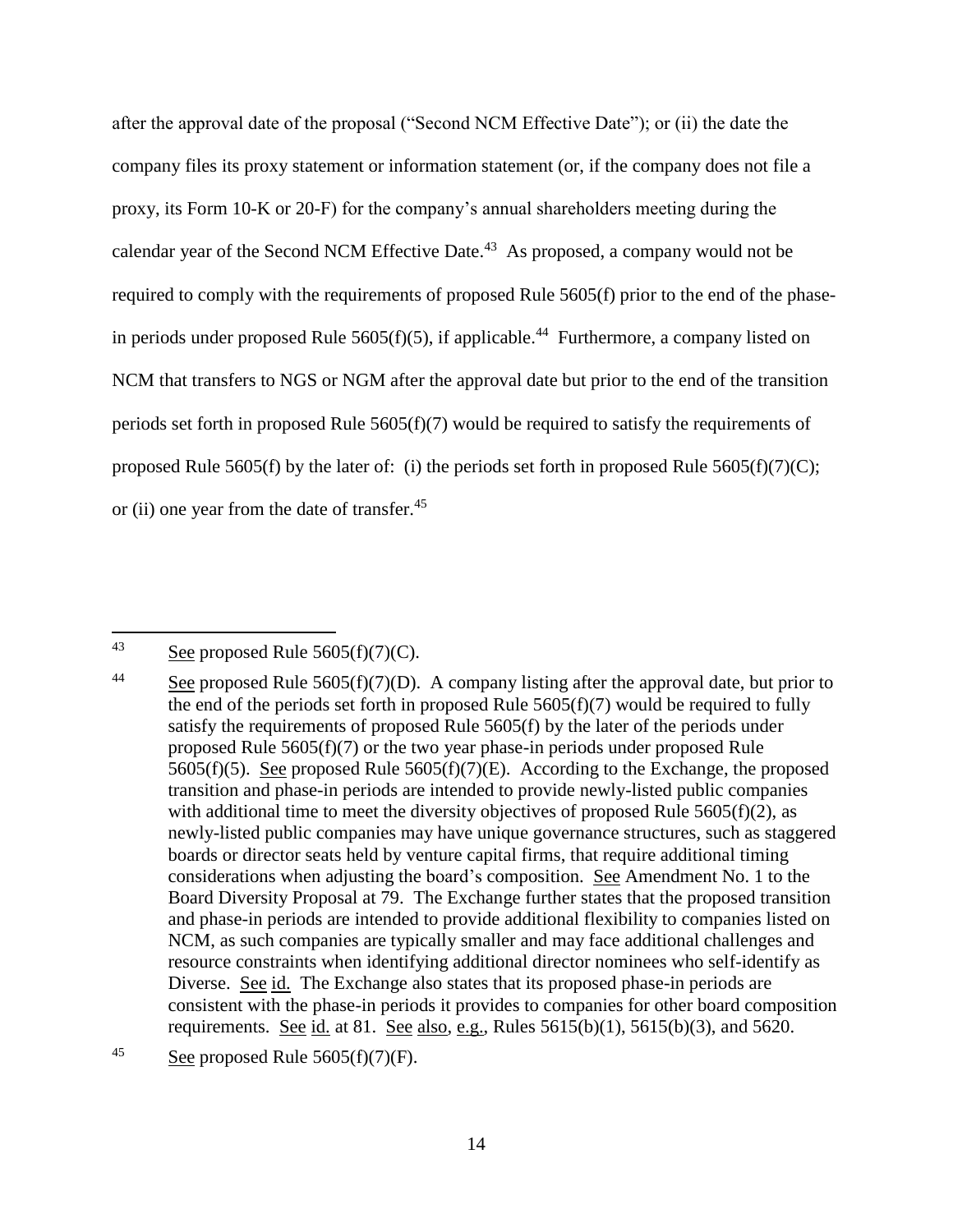after the approval date of the proposal ("Second NCM Effective Date"); or (ii) the date the company files its proxy statement or information statement (or, if the company does not file a proxy, its Form 10-K or 20-F) for the company's annual shareholders meeting during the calendar year of the Second NCM Effective Date. $43$  As proposed, a company would not be required to comply with the requirements of proposed Rule 5605(f) prior to the end of the phasein periods under proposed Rule  $5605(f)(5)$ , if applicable.<sup>44</sup> Furthermore, a company listed on NCM that transfers to NGS or NGM after the approval date but prior to the end of the transition periods set forth in proposed Rule 5605(f)(7) would be required to satisfy the requirements of proposed Rule 5605(f) by the later of: (i) the periods set forth in proposed Rule 5605(f)(7)(C); or (ii) one year from the date of transfer.<sup>45</sup>

<sup>43</sup> See proposed Rule  $5605(f)(7)(C)$ .

<sup>&</sup>lt;sup>44</sup> See proposed Rule 5605(f)(7)(D). A company listing after the approval date, but prior to the end of the periods set forth in proposed Rule 5605(f)(7) would be required to fully satisfy the requirements of proposed Rule 5605(f) by the later of the periods under proposed Rule 5605(f)(7) or the two year phase-in periods under proposed Rule 5605(f)(5). See proposed Rule 5605(f)(7)(E). According to the Exchange, the proposed transition and phase-in periods are intended to provide newly-listed public companies with additional time to meet the diversity objectives of proposed Rule  $5605(f)(2)$ , as newly-listed public companies may have unique governance structures, such as staggered boards or director seats held by venture capital firms, that require additional timing considerations when adjusting the board's composition. See Amendment No. 1 to the Board Diversity Proposal at 79. The Exchange further states that the proposed transition and phase-in periods are intended to provide additional flexibility to companies listed on NCM, as such companies are typically smaller and may face additional challenges and resource constraints when identifying additional director nominees who self-identify as Diverse. See id. The Exchange also states that its proposed phase-in periods are consistent with the phase-in periods it provides to companies for other board composition requirements. See id. at 81. See also, e.g., Rules  $5615(b)(1)$ ,  $5615(b)(3)$ , and  $5620$ .

<sup>&</sup>lt;sup>45</sup> See proposed Rule  $5605(f)(7)(F)$ .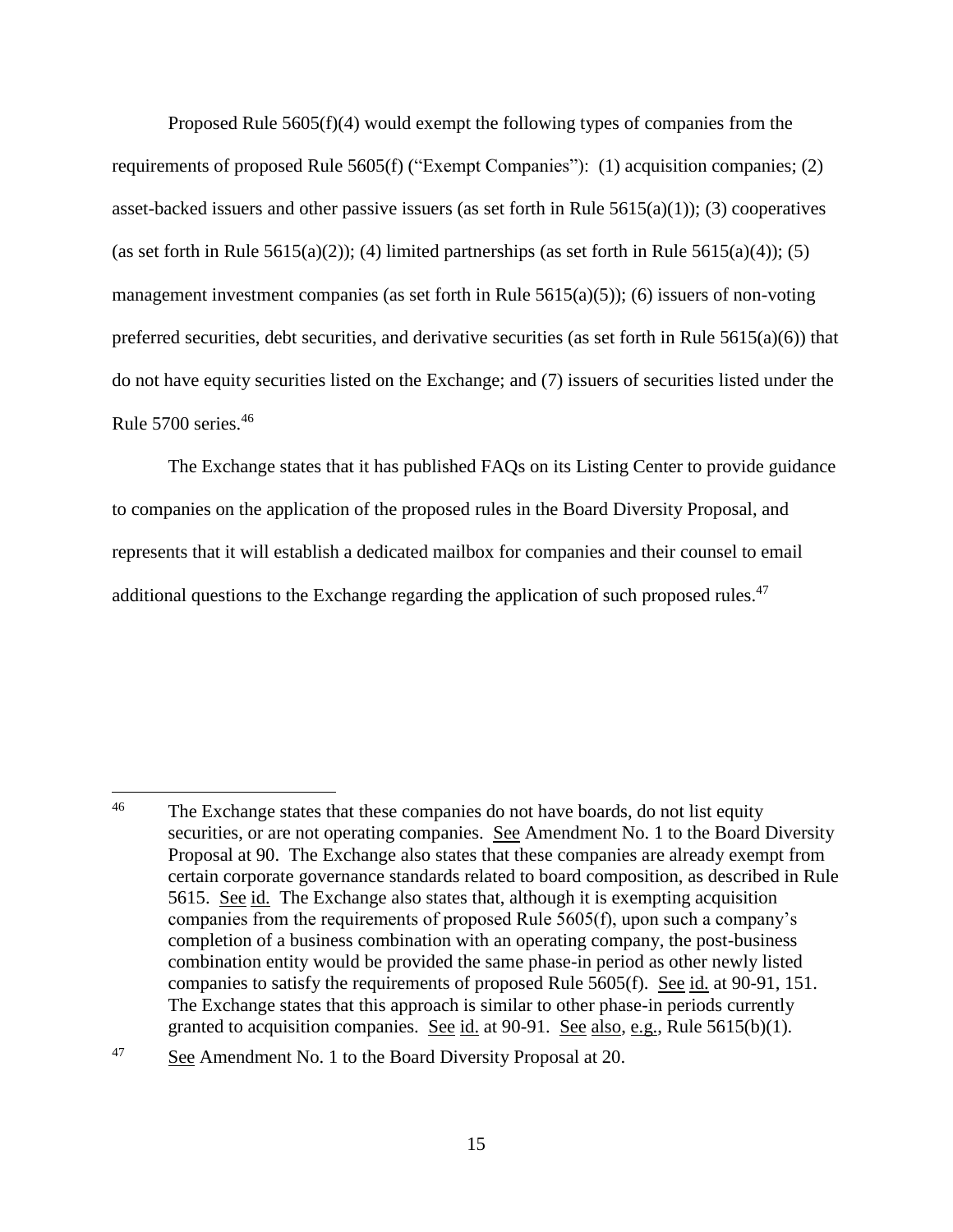Proposed Rule 5605(f)(4) would exempt the following types of companies from the requirements of proposed Rule 5605(f) ("Exempt Companies"): (1) acquisition companies; (2) asset-backed issuers and other passive issuers (as set forth in Rule  $5615(a)(1)$ ); (3) cooperatives (as set forth in Rule 5615(a)(2)); (4) limited partnerships (as set forth in Rule 5615(a)(4)); (5) management investment companies (as set forth in Rule  $5615(a)(5)$ ); (6) issuers of non-voting preferred securities, debt securities, and derivative securities (as set forth in Rule  $5615(a)(6)$ ) that do not have equity securities listed on the Exchange; and (7) issuers of securities listed under the Rule 5700 series.<sup>46</sup>

<span id="page-14-0"></span>The Exchange states that it has published FAQs on its Listing Center to provide guidance to companies on the application of the proposed rules in the Board Diversity Proposal, and represents that it will establish a dedicated mailbox for companies and their counsel to email additional questions to the Exchange regarding the application of such proposed rules.<sup>47</sup>

<sup>47</sup> See Amendment No. 1 to the Board Diversity Proposal at 20.

 $46\,$ The Exchange states that these companies do not have boards, do not list equity securities, or are not operating companies. See Amendment No. 1 to the Board Diversity Proposal at 90. The Exchange also states that these companies are already exempt from certain corporate governance standards related to board composition, as described in Rule 5615. See id. The Exchange also states that, although it is exempting acquisition companies from the requirements of proposed Rule 5605(f), upon such a company's completion of a business combination with an operating company, the post-business combination entity would be provided the same phase-in period as other newly listed companies to satisfy the requirements of proposed Rule 5605(f). See id. at 90-91, 151. The Exchange states that this approach is similar to other phase-in periods currently granted to acquisition companies. See id. at 90-91. See also, e.g., Rule 5615(b)(1).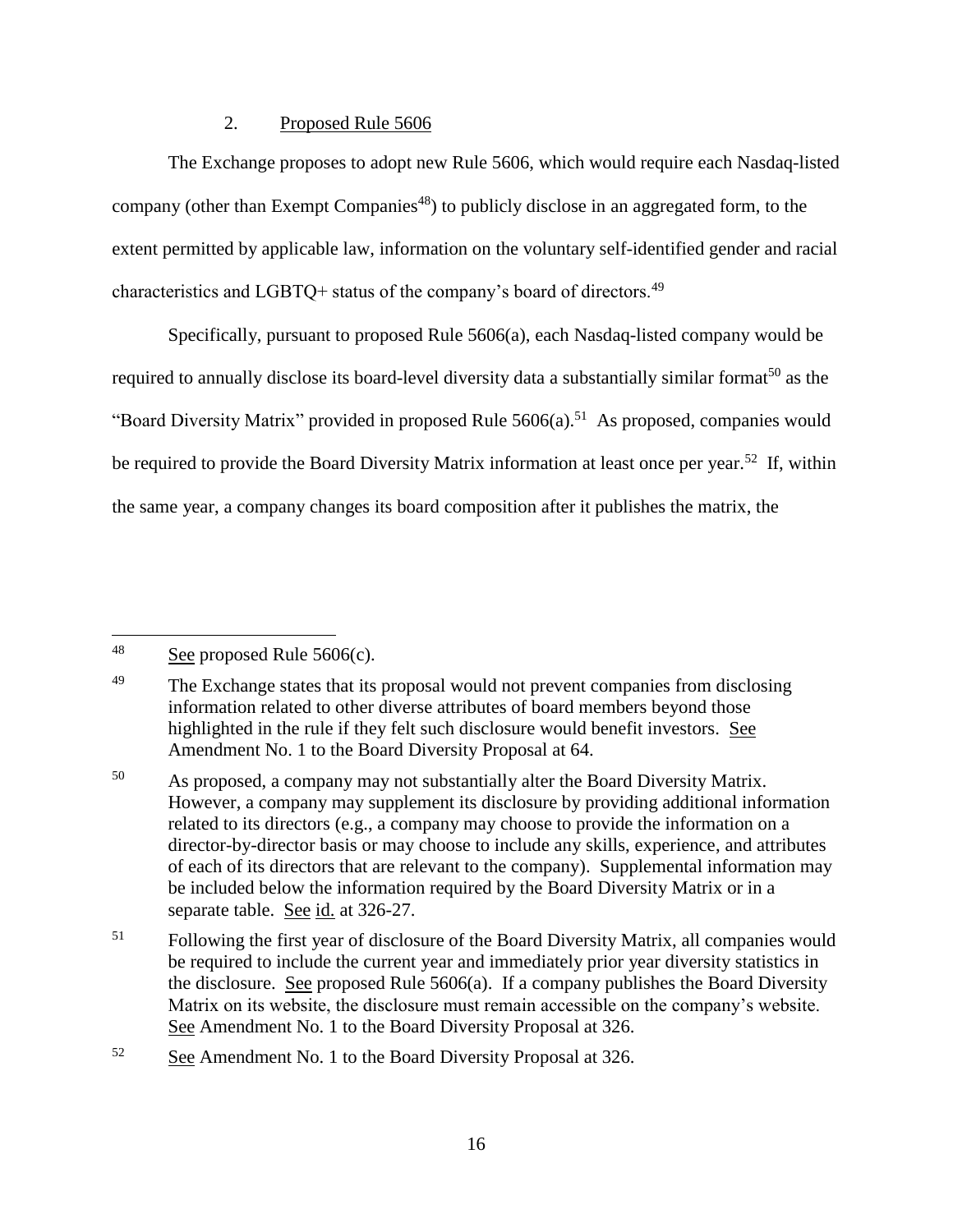### 2. Proposed Rule 5606

The Exchange proposes to adopt new Rule 5606, which would require each Nasdaq-listed company (other than Exempt Companies<sup>48</sup>) to publicly disclose in an aggregated form, to the extent permitted by applicable law, information on the voluntary self-identified gender and racial characteristics and LGBTQ+ status of the company's board of directors.<sup>49</sup>

Specifically, pursuant to proposed Rule 5606(a), each Nasdaq-listed company would be required to annually disclose its board-level diversity data a substantially similar format<sup>50</sup> as the "Board Diversity Matrix" provided in proposed Rule 5606(a).<sup>51</sup> As proposed, companies would be required to provide the Board Diversity Matrix information at least once per year.<sup>52</sup> If, within the same year, a company changes its board composition after it publishes the matrix, the

 $\overline{a}$  $48$  See proposed Rule 5606(c).

<sup>&</sup>lt;sup>49</sup> The Exchange states that its proposal would not prevent companies from disclosing information related to other diverse attributes of board members beyond those highlighted in the rule if they felt such disclosure would benefit investors. See Amendment No. 1 to the Board Diversity Proposal at 64.

<sup>&</sup>lt;sup>50</sup> As proposed, a company may not substantially alter the Board Diversity Matrix. However, a company may supplement its disclosure by providing additional information related to its directors (e.g., a company may choose to provide the information on a director-by-director basis or may choose to include any skills, experience, and attributes of each of its directors that are relevant to the company). Supplemental information may be included below the information required by the Board Diversity Matrix or in a separate table. See id. at 326-27.

<sup>&</sup>lt;sup>51</sup> Following the first year of disclosure of the Board Diversity Matrix, all companies would be required to include the current year and immediately prior year diversity statistics in the disclosure. See proposed Rule 5606(a). If a company publishes the Board Diversity Matrix on its website, the disclosure must remain accessible on the company's website. See Amendment No. 1 to the Board Diversity Proposal at 326.

<sup>52</sup> See Amendment No. 1 to the Board Diversity Proposal at 326.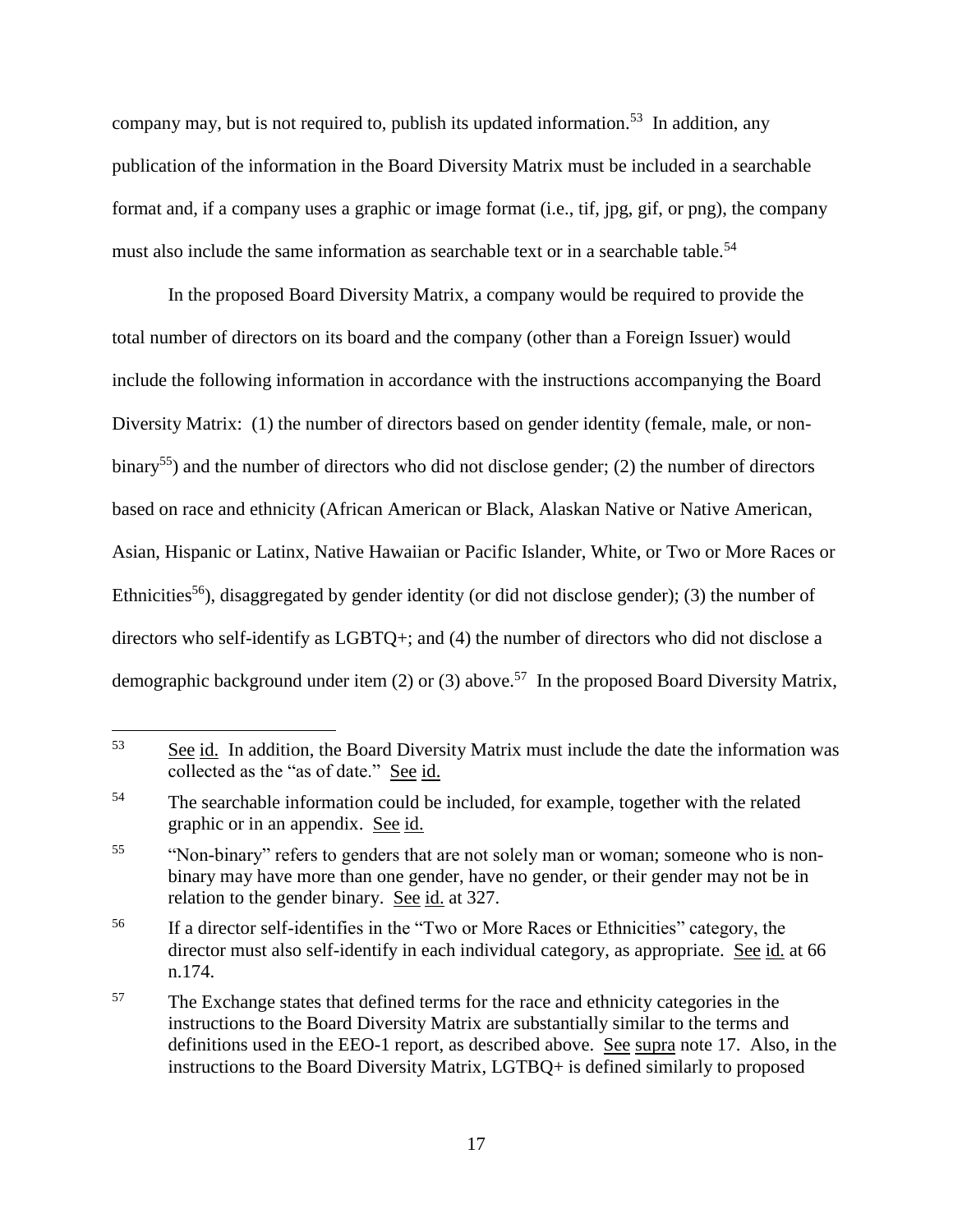company may, but is not required to, publish its updated information.<sup>53</sup> In addition, any publication of the information in the Board Diversity Matrix must be included in a searchable format and, if a company uses a graphic or image format (i.e., tif, jpg, gif, or png), the company must also include the same information as searchable text or in a searchable table.<sup>54</sup>

In the proposed Board Diversity Matrix, a company would be required to provide the total number of directors on its board and the company (other than a Foreign Issuer) would include the following information in accordance with the instructions accompanying the Board Diversity Matrix: (1) the number of directors based on gender identity (female, male, or nonbinary<sup>55</sup>) and the number of directors who did not disclose gender; (2) the number of directors based on race and ethnicity (African American or Black, Alaskan Native or Native American, Asian, Hispanic or Latinx, Native Hawaiian or Pacific Islander, White, or Two or More Races or Ethnicities<sup>56</sup>), disaggregated by gender identity (or did not disclose gender); (3) the number of directors who self-identify as LGBTQ+; and (4) the number of directors who did not disclose a demographic background under item (2) or (3) above.<sup>57</sup> In the proposed Board Diversity Matrix,

<sup>53</sup> See id. In addition, the Board Diversity Matrix must include the date the information was collected as the "as of date." See id.

<sup>&</sup>lt;sup>54</sup> The searchable information could be included, for example, together with the related graphic or in an appendix. See id.

<sup>&</sup>lt;sup>55</sup> "Non-binary" refers to genders that are not solely man or woman; someone who is nonbinary may have more than one gender, have no gender, or their gender may not be in relation to the gender binary. See id. at 327.

<sup>&</sup>lt;sup>56</sup> If a director self-identifies in the "Two or More Races or Ethnicities" category, the director must also self-identify in each individual category, as appropriate. See id. at 66 n.174.

<sup>&</sup>lt;sup>57</sup> The Exchange states that defined terms for the race and ethnicity categories in the instructions to the Board Diversity Matrix are substantially similar to the terms and definitions used in the EEO-1 report, as described above. See supra note [17.](#page-4-0) Also, in the instructions to the Board Diversity Matrix, LGTBQ+ is defined similarly to proposed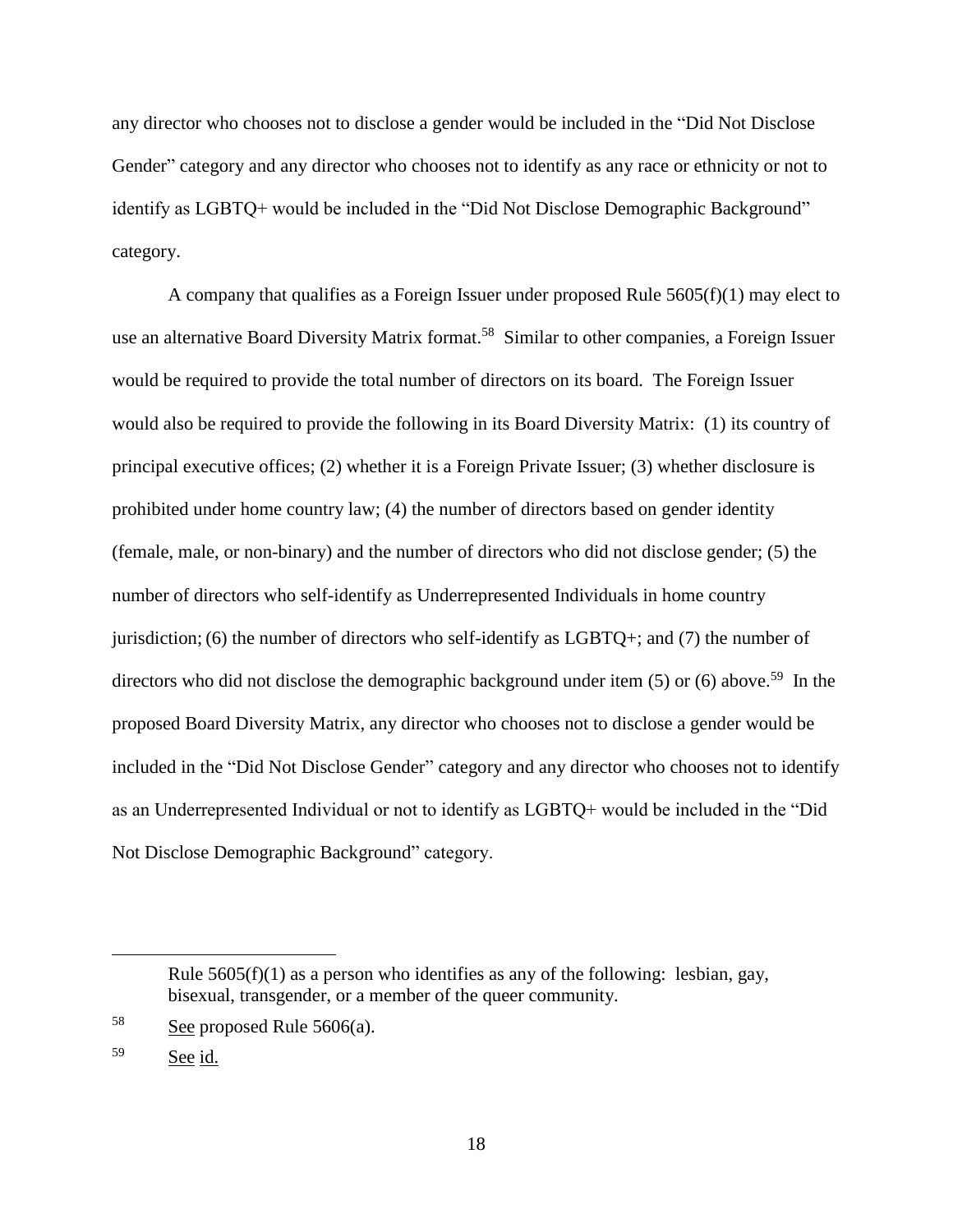any director who chooses not to disclose a gender would be included in the "Did Not Disclose Gender" category and any director who chooses not to identify as any race or ethnicity or not to identify as LGBTQ+ would be included in the "Did Not Disclose Demographic Background" category.

A company that qualifies as a Foreign Issuer under proposed Rule  $5605(f)(1)$  may elect to use an alternative Board Diversity Matrix format.<sup>58</sup> Similar to other companies, a Foreign Issuer would be required to provide the total number of directors on its board. The Foreign Issuer would also be required to provide the following in its Board Diversity Matrix: (1) its country of principal executive offices; (2) whether it is a Foreign Private Issuer; (3) whether disclosure is prohibited under home country law; (4) the number of directors based on gender identity (female, male, or non-binary) and the number of directors who did not disclose gender; (5) the number of directors who self-identify as Underrepresented Individuals in home country jurisdiction; (6) the number of directors who self-identify as LGBTQ+; and (7) the number of directors who did not disclose the demographic background under item (5) or (6) above.<sup>59</sup> In the proposed Board Diversity Matrix, any director who chooses not to disclose a gender would be included in the "Did Not Disclose Gender" category and any director who chooses not to identify as an Underrepresented Individual or not to identify as LGBTQ+ would be included in the "Did Not Disclose Demographic Background" category.

Rule  $5605(f)(1)$  as a person who identifies as any of the following: lesbian, gay, bisexual, transgender, or a member of the queer community.

 $58$  See proposed Rule  $5606(a)$ .

<sup>59</sup> See id.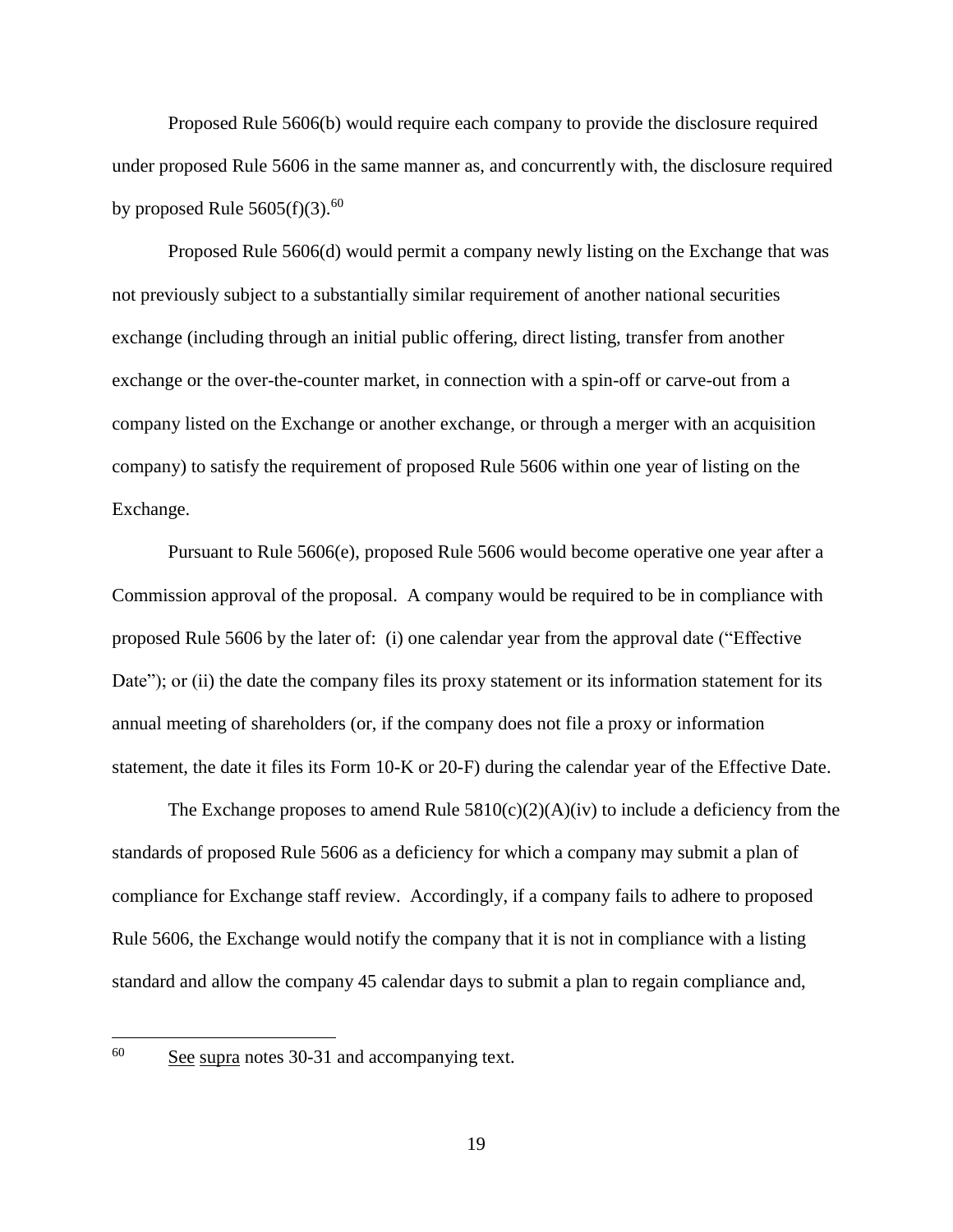Proposed Rule 5606(b) would require each company to provide the disclosure required under proposed Rule 5606 in the same manner as, and concurrently with, the disclosure required by proposed Rule  $5605(f)(3).<sup>60</sup>$ 

Proposed Rule 5606(d) would permit a company newly listing on the Exchange that was not previously subject to a substantially similar requirement of another national securities exchange (including through an initial public offering, direct listing, transfer from another exchange or the over-the-counter market, in connection with a spin-off or carve-out from a company listed on the Exchange or another exchange, or through a merger with an acquisition company) to satisfy the requirement of proposed Rule 5606 within one year of listing on the Exchange.

Pursuant to Rule 5606(e), proposed Rule 5606 would become operative one year after a Commission approval of the proposal. A company would be required to be in compliance with proposed Rule 5606 by the later of: (i) one calendar year from the approval date ("Effective Date"); or (ii) the date the company files its proxy statement or its information statement for its annual meeting of shareholders (or, if the company does not file a proxy or information statement, the date it files its Form 10-K or 20-F) during the calendar year of the Effective Date.

The Exchange proposes to amend Rule  $5810(c)(2)(A)(iv)$  to include a deficiency from the standards of proposed Rule 5606 as a deficiency for which a company may submit a plan of compliance for Exchange staff review. Accordingly, if a company fails to adhere to proposed Rule 5606, the Exchange would notify the company that it is not in compliance with a listing standard and allow the company 45 calendar days to submit a plan to regain compliance and,

60

See supra notes [30](#page-8-0)[-31](#page-8-1) and accompanying text.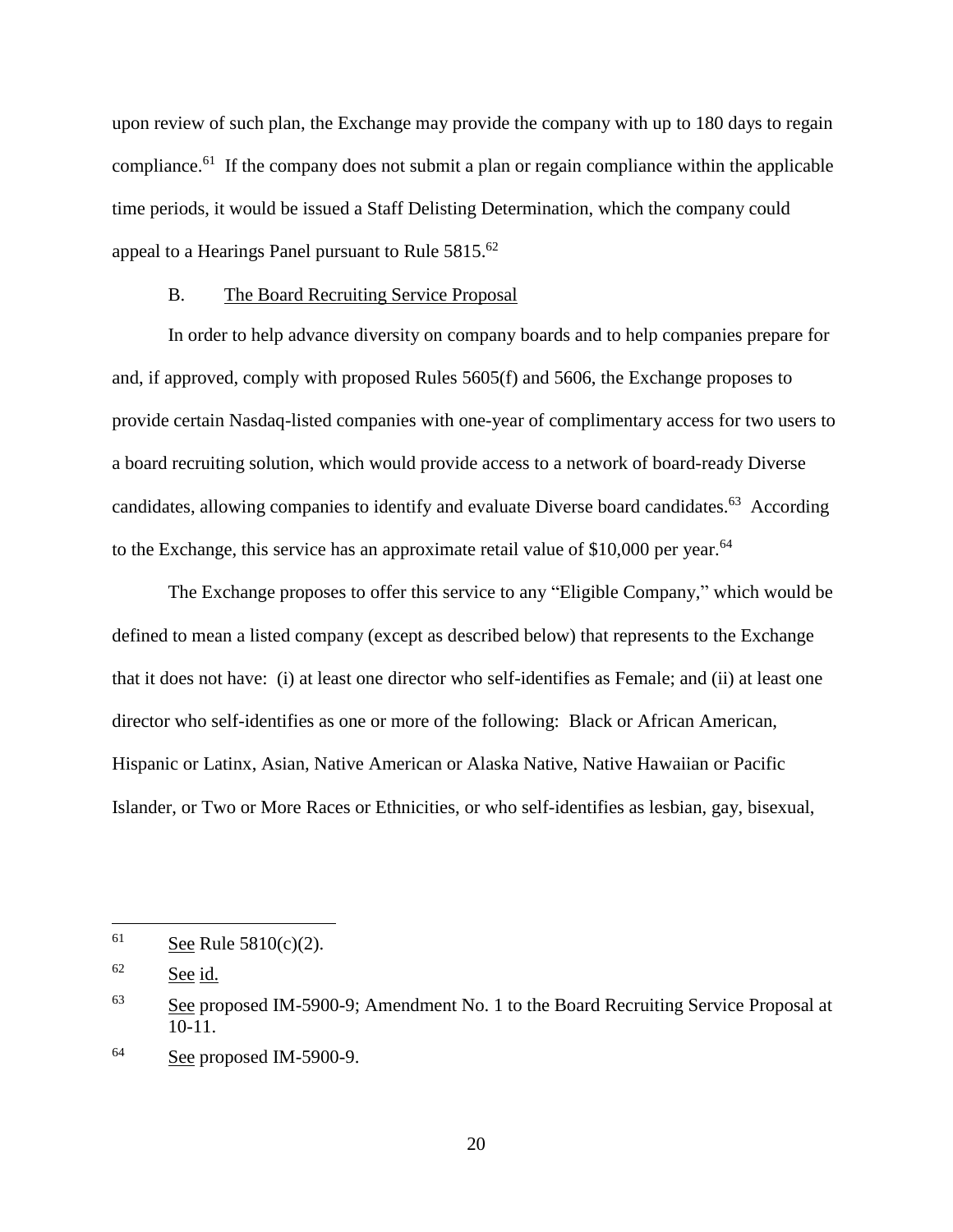upon review of such plan, the Exchange may provide the company with up to 180 days to regain compliance.<sup>61</sup> If the company does not submit a plan or regain compliance within the applicable time periods, it would be issued a Staff Delisting Determination, which the company could appeal to a Hearings Panel pursuant to Rule 5815.<sup>62</sup>

#### B. The Board Recruiting Service Proposal

In order to help advance diversity on company boards and to help companies prepare for and, if approved, comply with proposed Rules 5605(f) and 5606, the Exchange proposes to provide certain Nasdaq-listed companies with one-year of complimentary access for two users to a board recruiting solution, which would provide access to a network of board-ready Diverse candidates, allowing companies to identify and evaluate Diverse board candidates.<sup>63</sup> According to the Exchange, this service has an approximate retail value of \$10,000 per year.<sup>64</sup>

The Exchange proposes to offer this service to any "Eligible Company," which would be defined to mean a listed company (except as described below) that represents to the Exchange that it does not have: (i) at least one director who self-identifies as Female; and (ii) at least one director who self-identifies as one or more of the following: Black or African American, Hispanic or Latinx, Asian, Native American or Alaska Native, Native Hawaiian or Pacific Islander, or Two or More Races or Ethnicities, or who self-identifies as lesbian, gay, bisexual,

 $61$  See Rule 5810(c)(2).

<sup>62</sup> See id.

<sup>&</sup>lt;sup>63</sup> See proposed IM-5900-9; Amendment No. 1 to the Board Recruiting Service Proposal at 10-11.

<sup>64</sup> See proposed IM-5900-9.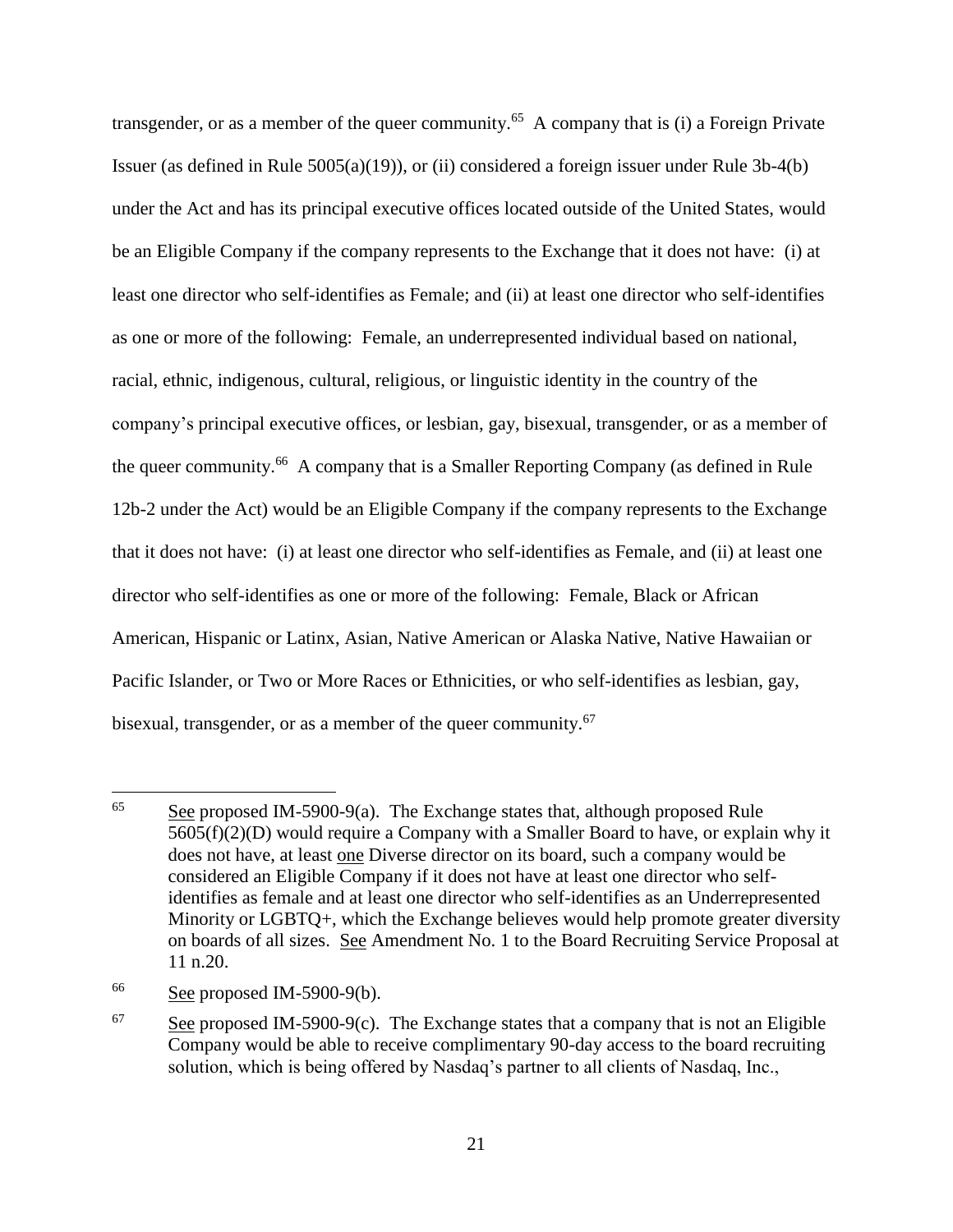transgender, or as a member of the queer community.<sup>65</sup> A company that is (i) a Foreign Private Issuer (as defined in Rule 5005(a)(19)), or (ii) considered a foreign issuer under Rule 3b-4(b) under the Act and has its principal executive offices located outside of the United States, would be an Eligible Company if the company represents to the Exchange that it does not have: (i) at least one director who self-identifies as Female; and (ii) at least one director who self-identifies as one or more of the following: Female, an underrepresented individual based on national, racial, ethnic, indigenous, cultural, religious, or linguistic identity in the country of the company's principal executive offices, or lesbian, gay, bisexual, transgender, or as a member of the queer community.<sup>66</sup> A company that is a Smaller Reporting Company (as defined in Rule 12b-2 under the Act) would be an Eligible Company if the company represents to the Exchange that it does not have: (i) at least one director who self-identifies as Female, and (ii) at least one director who self-identifies as one or more of the following: Female, Black or African American, Hispanic or Latinx, Asian, Native American or Alaska Native, Native Hawaiian or Pacific Islander, or Two or More Races or Ethnicities, or who self-identifies as lesbian, gay, bisexual, transgender, or as a member of the queer community.<sup>67</sup>

<sup>65</sup> See proposed IM-5900-9(a). The Exchange states that, although proposed Rule 5605(f)(2)(D) would require a Company with a Smaller Board to have, or explain why it does not have, at least one Diverse director on its board, such a company would be considered an Eligible Company if it does not have at least one director who selfidentifies as female and at least one director who self-identifies as an Underrepresented Minority or LGBTQ+, which the Exchange believes would help promote greater diversity on boards of all sizes. See Amendment No. 1 to the Board Recruiting Service Proposal at 11 n.20.

 $66$  See proposed IM-5900-9(b).

 $67$  See proposed IM-5900-9(c). The Exchange states that a company that is not an Eligible Company would be able to receive complimentary 90-day access to the board recruiting solution, which is being offered by Nasdaq's partner to all clients of Nasdaq, Inc.,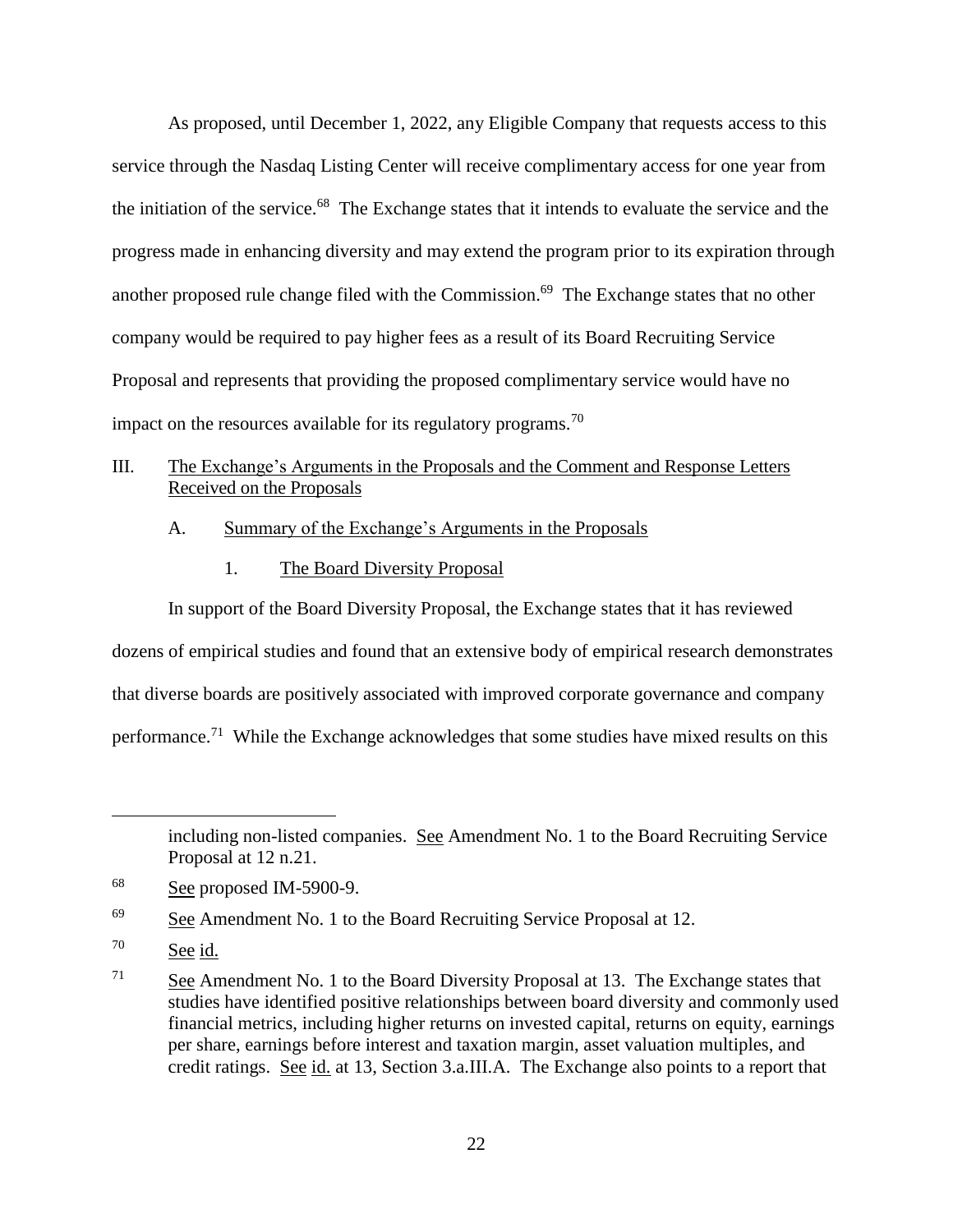As proposed, until December 1, 2022, any Eligible Company that requests access to this service through the Nasdaq Listing Center will receive complimentary access for one year from the initiation of the service. 68 The Exchange states that it intends to evaluate the service and the progress made in enhancing diversity and may extend the program prior to its expiration through another proposed rule change filed with the Commission.<sup>69</sup> The Exchange states that no other company would be required to pay higher fees as a result of its Board Recruiting Service Proposal and represents that providing the proposed complimentary service would have no impact on the resources available for its regulatory programs.<sup>70</sup>

## III. The Exchange's Arguments in the Proposals and the Comment and Response Letters Received on the Proposals

### A. Summary of the Exchange's Arguments in the Proposals

1. The Board Diversity Proposal

In support of the Board Diversity Proposal, the Exchange states that it has reviewed dozens of empirical studies and found that an extensive body of empirical research demonstrates that diverse boards are positively associated with improved corporate governance and company performance.<sup>71</sup> While the Exchange acknowledges that some studies have mixed results on this

including non-listed companies. See Amendment No. 1 to the Board Recruiting Service Proposal at 12 n.21.

 $68$  See proposed IM-5900-9.

<sup>&</sup>lt;sup>69</sup> See Amendment No. 1 to the Board Recruiting Service Proposal at 12.

<sup>70</sup> See id.

<sup>&</sup>lt;sup>71</sup> See Amendment No. 1 to the Board Diversity Proposal at 13. The Exchange states that studies have identified positive relationships between board diversity and commonly used financial metrics, including higher returns on invested capital, returns on equity, earnings per share, earnings before interest and taxation margin, asset valuation multiples, and credit ratings. See id. at 13, Section 3.a.III.A. The Exchange also points to a report that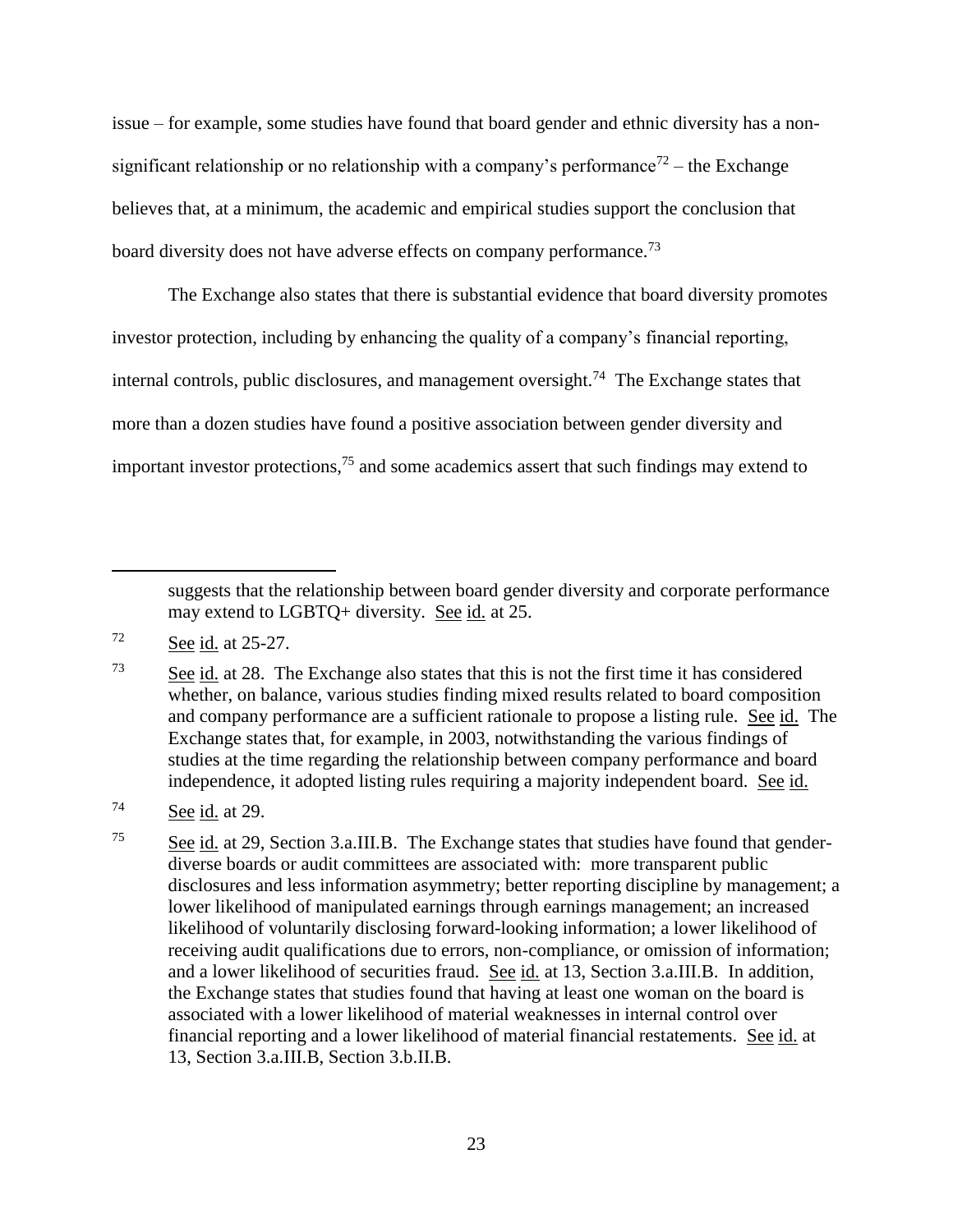issue – for example, some studies have found that board gender and ethnic diversity has a nonsignificant relationship or no relationship with a company's performance<sup>72</sup> – the Exchange believes that, at a minimum, the academic and empirical studies support the conclusion that board diversity does not have adverse effects on company performance.<sup>73</sup>

The Exchange also states that there is substantial evidence that board diversity promotes investor protection, including by enhancing the quality of a company's financial reporting, internal controls, public disclosures, and management oversight.<sup>74</sup> The Exchange states that more than a dozen studies have found a positive association between gender diversity and important investor protections,  $7<sup>5</sup>$  and some academics assert that such findings may extend to

suggests that the relationship between board gender diversity and corporate performance may extend to LGBTQ+ diversity. See id. at 25.

 $\overline{a}$ 

 $\frac{73}{2}$  See id. at 28. The Exchange also states that this is not the first time it has considered whether, on balance, various studies finding mixed results related to board composition and company performance are a sufficient rationale to propose a listing rule. See id. The Exchange states that, for example, in 2003, notwithstanding the various findings of studies at the time regarding the relationship between company performance and board independence, it adopted listing rules requiring a majority independent board. See id.

<sup>75</sup> See id. at 29, Section 3.a.III.B. The Exchange states that studies have found that genderdiverse boards or audit committees are associated with: more transparent public disclosures and less information asymmetry; better reporting discipline by management; a lower likelihood of manipulated earnings through earnings management; an increased likelihood of voluntarily disclosing forward-looking information; a lower likelihood of receiving audit qualifications due to errors, non-compliance, or omission of information; and a lower likelihood of securities fraud. See id. at 13, Section 3.a.III.B. In addition, the Exchange states that studies found that having at least one woman on the board is associated with a lower likelihood of material weaknesses in internal control over financial reporting and a lower likelihood of material financial restatements. See id. at 13, Section 3.a.III.B, Section 3.b.II.B.

<sup>72</sup> See id. at 25-27.

 $74$  See id. at 29.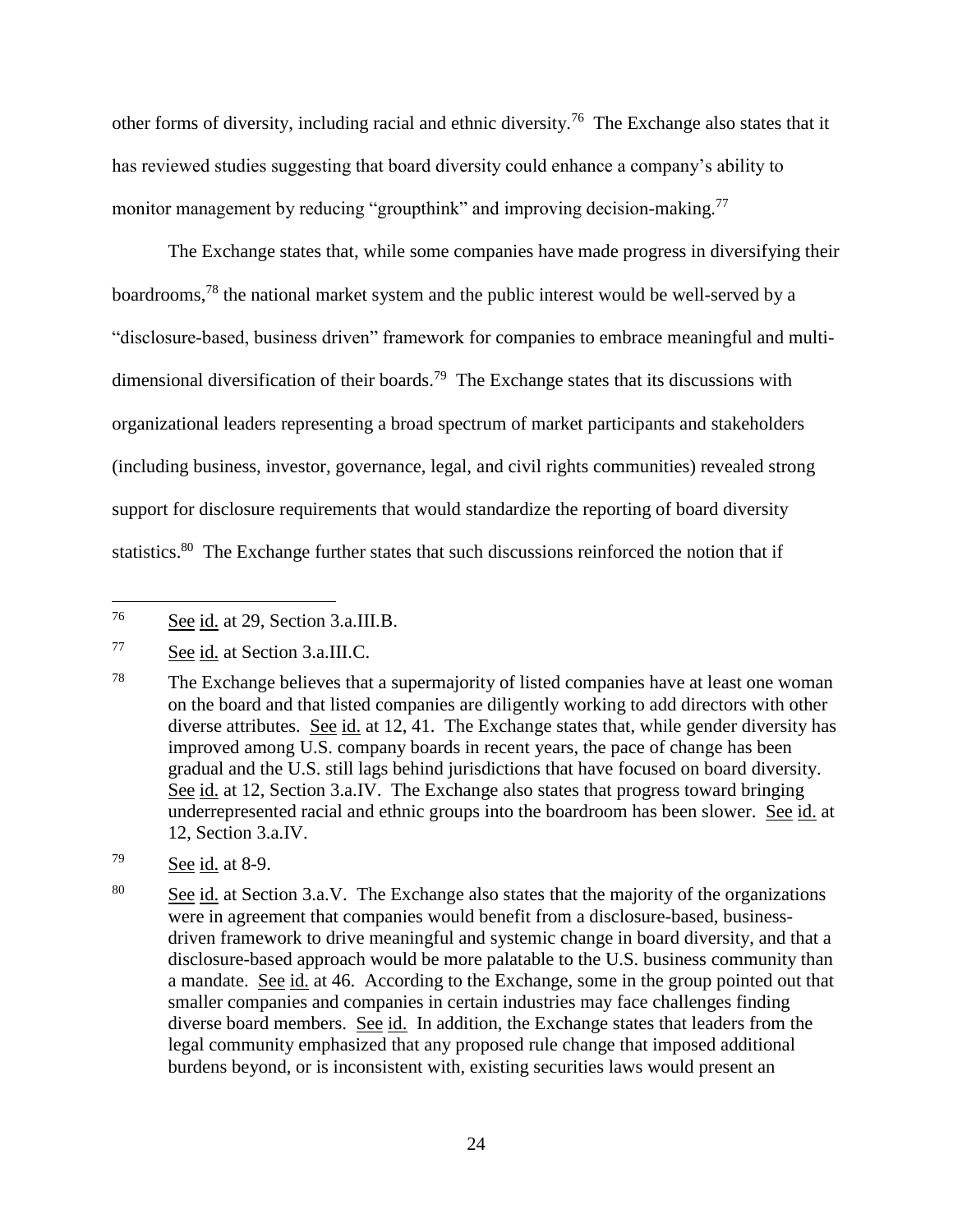other forms of diversity, including racial and ethnic diversity.<sup>76</sup> The Exchange also states that it has reviewed studies suggesting that board diversity could enhance a company's ability to monitor management by reducing "groupthink" and improving decision-making.<sup>77</sup>

The Exchange states that, while some companies have made progress in diversifying their boardrooms,<sup>78</sup> the national market system and the public interest would be well-served by a "disclosure-based, business driven" framework for companies to embrace meaningful and multidimensional diversification of their boards.<sup>79</sup> The Exchange states that its discussions with organizational leaders representing a broad spectrum of market participants and stakeholders (including business, investor, governance, legal, and civil rights communities) revealed strong support for disclosure requirements that would standardize the reporting of board diversity statistics.<sup>80</sup> The Exchange further states that such discussions reinforced the notion that if

<sup>76</sup> See id. at 29, Section 3.a.III.B.

<sup>77</sup> See id. at Section 3.a.III.C.

<sup>&</sup>lt;sup>78</sup> The Exchange believes that a supermajority of listed companies have at least one woman on the board and that listed companies are diligently working to add directors with other diverse attributes. See id. at 12, 41. The Exchange states that, while gender diversity has improved among U.S. company boards in recent years, the pace of change has been gradual and the U.S. still lags behind jurisdictions that have focused on board diversity. See id. at 12, Section 3.a.IV. The Exchange also states that progress toward bringing underrepresented racial and ethnic groups into the boardroom has been slower. See id. at 12, Section 3.a.IV.

 $79$  See id. at 8-9.

<sup>&</sup>lt;sup>80</sup> See id. at Section 3.a.V. The Exchange also states that the majority of the organizations were in agreement that companies would benefit from a disclosure-based, businessdriven framework to drive meaningful and systemic change in board diversity, and that a disclosure-based approach would be more palatable to the U.S. business community than a mandate. See id. at 46. According to the Exchange, some in the group pointed out that smaller companies and companies in certain industries may face challenges finding diverse board members. See id. In addition, the Exchange states that leaders from the legal community emphasized that any proposed rule change that imposed additional burdens beyond, or is inconsistent with, existing securities laws would present an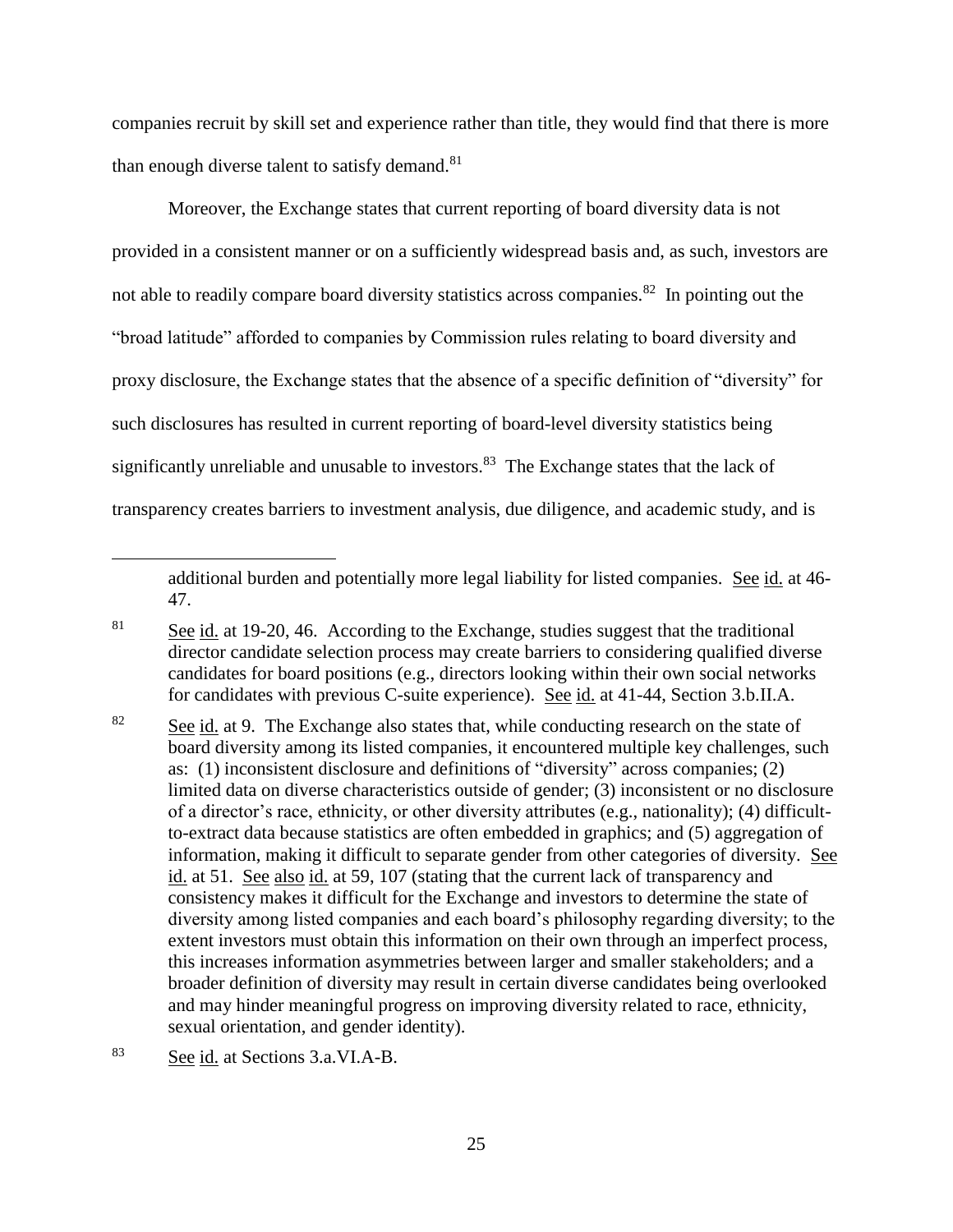companies recruit by skill set and experience rather than title, they would find that there is more than enough diverse talent to satisfy demand. $81$ 

Moreover, the Exchange states that current reporting of board diversity data is not provided in a consistent manner or on a sufficiently widespread basis and, as such, investors are not able to readily compare board diversity statistics across companies.<sup>82</sup> In pointing out the "broad latitude" afforded to companies by Commission rules relating to board diversity and proxy disclosure, the Exchange states that the absence of a specific definition of "diversity" for such disclosures has resulted in current reporting of board-level diversity statistics being significantly unreliable and unusable to investors.<sup>83</sup> The Exchange states that the lack of transparency creates barriers to investment analysis, due diligence, and academic study, and is

additional burden and potentially more legal liability for listed companies. See id. at 46- 47.

<sup>&</sup>lt;sup>81</sup> See id. at 19-20, 46. According to the Exchange, studies suggest that the traditional director candidate selection process may create barriers to considering qualified diverse candidates for board positions (e.g., directors looking within their own social networks for candidates with previous C-suite experience). See id. at 41-44, Section 3.b.II.A.

<sup>&</sup>lt;sup>82</sup> See id. at 9. The Exchange also states that, while conducting research on the state of board diversity among its listed companies, it encountered multiple key challenges, such as: (1) inconsistent disclosure and definitions of "diversity" across companies; (2) limited data on diverse characteristics outside of gender; (3) inconsistent or no disclosure of a director's race, ethnicity, or other diversity attributes (e.g., nationality); (4) difficultto-extract data because statistics are often embedded in graphics; and (5) aggregation of information, making it difficult to separate gender from other categories of diversity. See id. at 51. See also id. at 59, 107 (stating that the current lack of transparency and consistency makes it difficult for the Exchange and investors to determine the state of diversity among listed companies and each board's philosophy regarding diversity; to the extent investors must obtain this information on their own through an imperfect process, this increases information asymmetries between larger and smaller stakeholders; and a broader definition of diversity may result in certain diverse candidates being overlooked and may hinder meaningful progress on improving diversity related to race, ethnicity, sexual orientation, and gender identity).

<sup>83</sup> See id. at Sections 3.a.VI.A-B.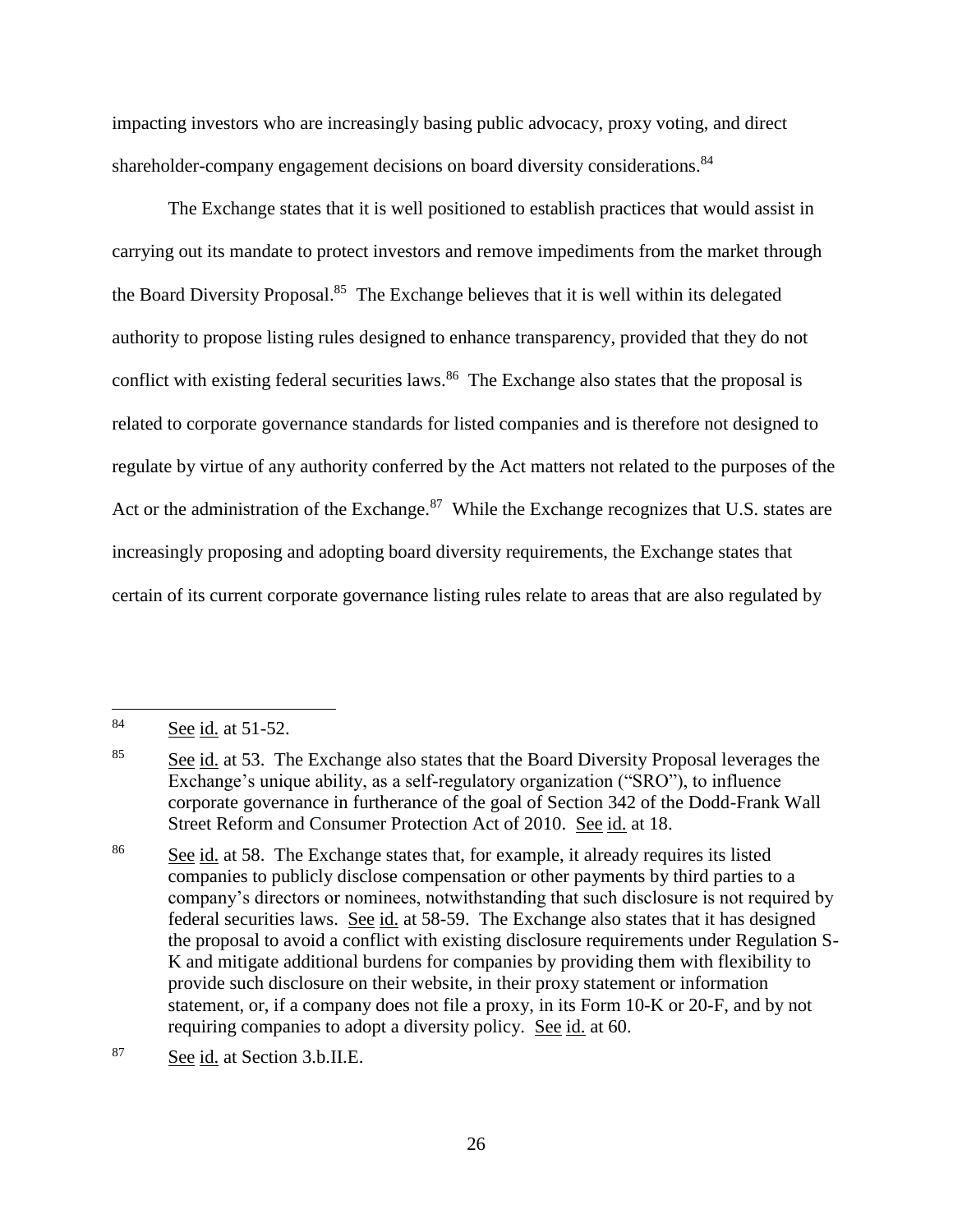impacting investors who are increasingly basing public advocacy, proxy voting, and direct shareholder-company engagement decisions on board diversity considerations.<sup>84</sup>

The Exchange states that it is well positioned to establish practices that would assist in carrying out its mandate to protect investors and remove impediments from the market through the Board Diversity Proposal.<sup>85</sup> The Exchange believes that it is well within its delegated authority to propose listing rules designed to enhance transparency, provided that they do not conflict with existing federal securities laws.<sup>86</sup> The Exchange also states that the proposal is related to corporate governance standards for listed companies and is therefore not designed to regulate by virtue of any authority conferred by the Act matters not related to the purposes of the Act or the administration of the Exchange.<sup>87</sup> While the Exchange recognizes that U.S. states are increasingly proposing and adopting board diversity requirements, the Exchange states that certain of its current corporate governance listing rules relate to areas that are also regulated by

 $\overline{a}$ 

<sup>87</sup> See id. at Section 3.b.II.E.

<sup>84</sup> See id. at 51-52.

<sup>&</sup>lt;sup>85</sup> See id. at 53. The Exchange also states that the Board Diversity Proposal leverages the Exchange's unique ability, as a self-regulatory organization ("SRO"), to influence corporate governance in furtherance of the goal of Section 342 of the Dodd-Frank Wall Street Reform and Consumer Protection Act of 2010. See id. at 18.

 $\frac{86}{200}$  See id. at 58. The Exchange states that, for example, it already requires its listed companies to publicly disclose compensation or other payments by third parties to a company's directors or nominees, notwithstanding that such disclosure is not required by federal securities laws. See id. at 58-59. The Exchange also states that it has designed the proposal to avoid a conflict with existing disclosure requirements under Regulation S-K and mitigate additional burdens for companies by providing them with flexibility to provide such disclosure on their website, in their proxy statement or information statement, or, if a company does not file a proxy, in its Form 10-K or 20-F, and by not requiring companies to adopt a diversity policy. See id. at 60.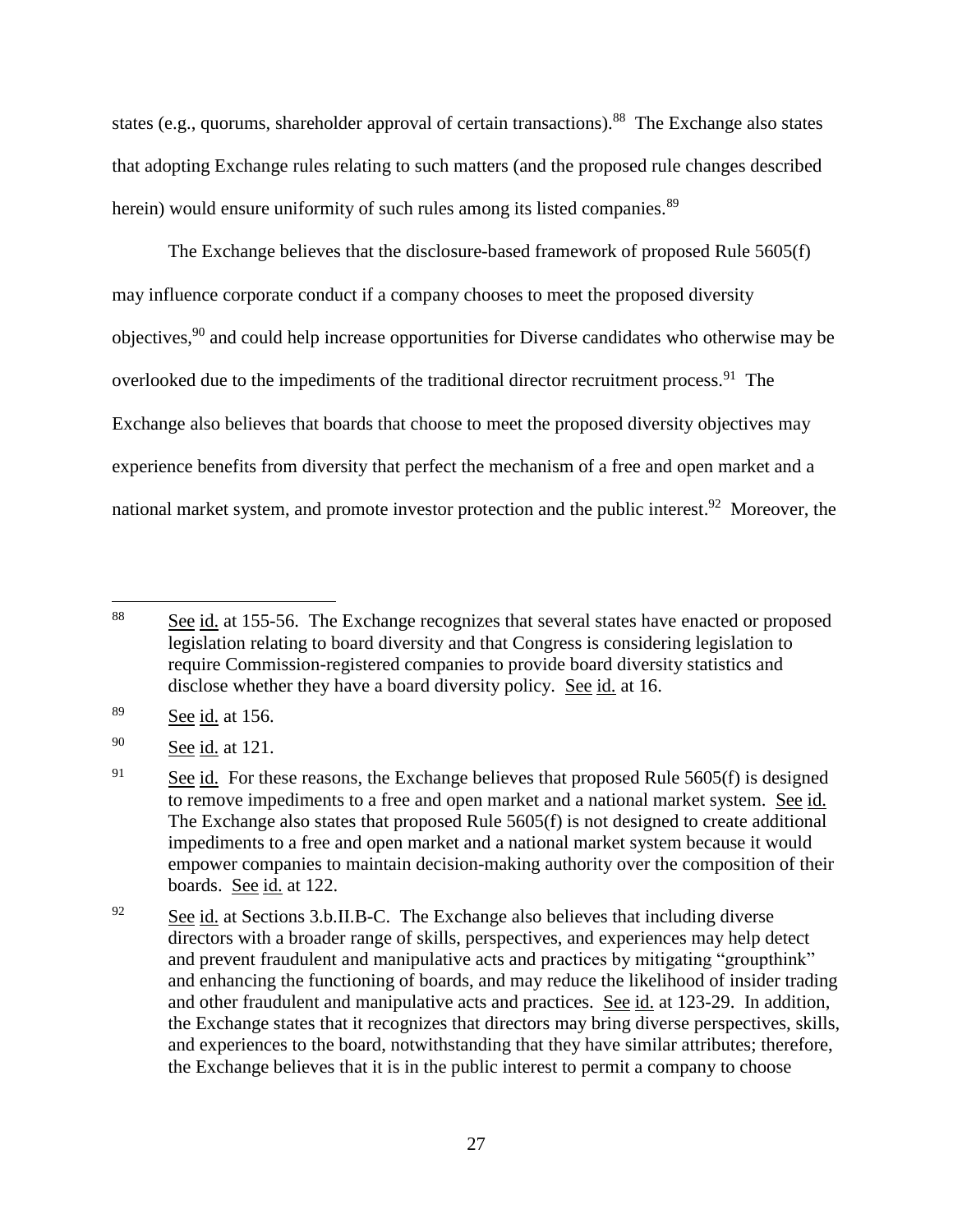states (e.g., quorums, shareholder approval of certain transactions).<sup>88</sup> The Exchange also states that adopting Exchange rules relating to such matters (and the proposed rule changes described herein) would ensure uniformity of such rules among its listed companies.<sup>89</sup>

The Exchange believes that the disclosure-based framework of proposed Rule 5605(f) may influence corporate conduct if a company chooses to meet the proposed diversity objectives,<sup>90</sup> and could help increase opportunities for Diverse candidates who otherwise may be overlooked due to the impediments of the traditional director recruitment process.<sup>91</sup> The Exchange also believes that boards that choose to meet the proposed diversity objectives may experience benefits from diversity that perfect the mechanism of a free and open market and a national market system, and promote investor protection and the public interest.<sup>92</sup> Moreover, the

<sup>88</sup> See id. at 155-56. The Exchange recognizes that several states have enacted or proposed legislation relating to board diversity and that Congress is considering legislation to require Commission-registered companies to provide board diversity statistics and disclose whether they have a board diversity policy. See id. at 16.

<sup>89</sup> See id. at 156.

<sup>&</sup>lt;sup>90</sup> See id. at 121.

<sup>&</sup>lt;sup>91</sup> See id. For these reasons, the Exchange believes that proposed Rule  $5605(f)$  is designed to remove impediments to a free and open market and a national market system. See id. The Exchange also states that proposed Rule 5605(f) is not designed to create additional impediments to a free and open market and a national market system because it would empower companies to maintain decision-making authority over the composition of their boards. See id. at 122.

<sup>&</sup>lt;sup>92</sup> See id. at Sections 3.b.II.B-C. The Exchange also believes that including diverse directors with a broader range of skills, perspectives, and experiences may help detect and prevent fraudulent and manipulative acts and practices by mitigating "groupthink" and enhancing the functioning of boards, and may reduce the likelihood of insider trading and other fraudulent and manipulative acts and practices. See id. at 123-29. In addition, the Exchange states that it recognizes that directors may bring diverse perspectives, skills, and experiences to the board, notwithstanding that they have similar attributes; therefore, the Exchange believes that it is in the public interest to permit a company to choose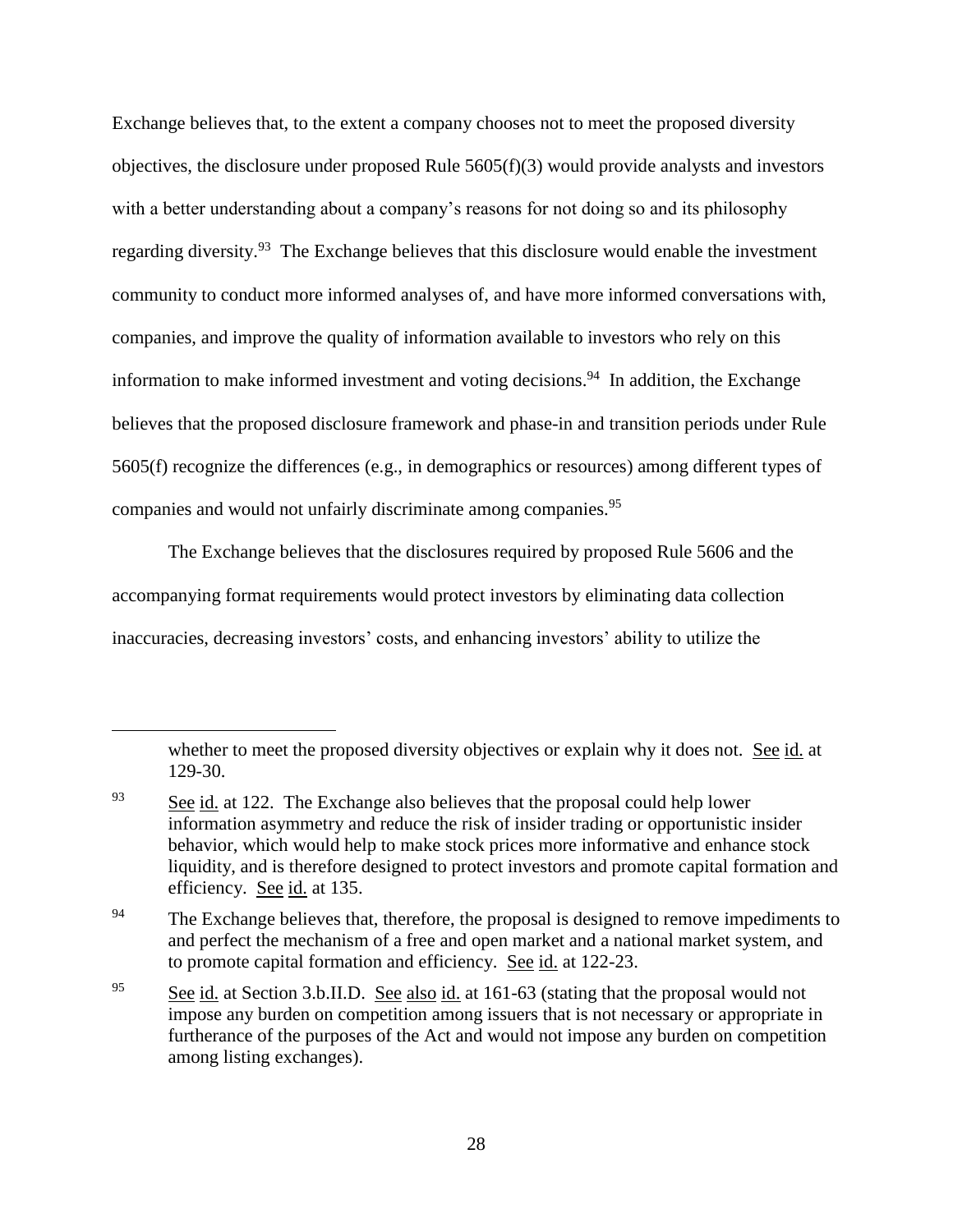Exchange believes that, to the extent a company chooses not to meet the proposed diversity objectives, the disclosure under proposed Rule  $5605(f)(3)$  would provide analysts and investors with a better understanding about a company's reasons for not doing so and its philosophy regarding diversity.<sup>93</sup> The Exchange believes that this disclosure would enable the investment community to conduct more informed analyses of, and have more informed conversations with, companies, and improve the quality of information available to investors who rely on this information to make informed investment and voting decisions.<sup>94</sup> In addition, the Exchange believes that the proposed disclosure framework and phase-in and transition periods under Rule 5605(f) recognize the differences (e.g., in demographics or resources) among different types of companies and would not unfairly discriminate among companies.<sup>95</sup>

The Exchange believes that the disclosures required by proposed Rule 5606 and the accompanying format requirements would protect investors by eliminating data collection inaccuracies, decreasing investors' costs, and enhancing investors' ability to utilize the

whether to meet the proposed diversity objectives or explain why it does not. See id. at 129-30.

 $\frac{93}{2}$  See id. at 122. The Exchange also believes that the proposal could help lower information asymmetry and reduce the risk of insider trading or opportunistic insider behavior, which would help to make stock prices more informative and enhance stock liquidity, and is therefore designed to protect investors and promote capital formation and efficiency. See id. at 135.

<sup>&</sup>lt;sup>94</sup> The Exchange believes that, therefore, the proposal is designed to remove impediments to and perfect the mechanism of a free and open market and a national market system, and to promote capital formation and efficiency. See id. at 122-23.

<sup>&</sup>lt;sup>95</sup> See id. at Section 3.b.II.D. See also id. at 161-63 (stating that the proposal would not impose any burden on competition among issuers that is not necessary or appropriate in furtherance of the purposes of the Act and would not impose any burden on competition among listing exchanges).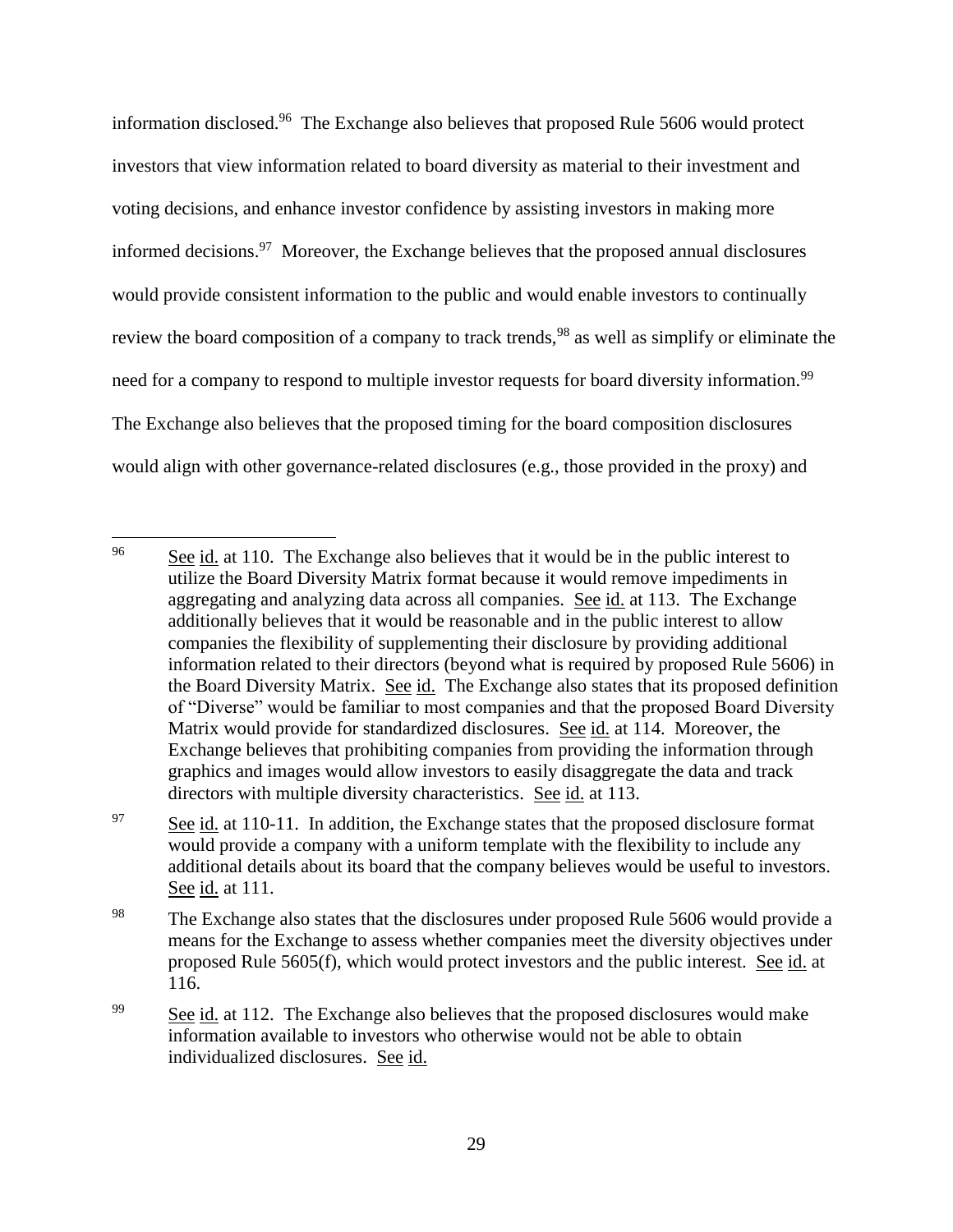information disclosed. 96 The Exchange also believes that proposed Rule 5606 would protect investors that view information related to board diversity as material to their investment and voting decisions, and enhance investor confidence by assisting investors in making more informed decisions.<sup>97</sup> Moreover, the Exchange believes that the proposed annual disclosures would provide consistent information to the public and would enable investors to continually review the board composition of a company to track trends,<sup>98</sup> as well as simplify or eliminate the need for a company to respond to multiple investor requests for board diversity information.<sup>99</sup> The Exchange also believes that the proposed timing for the board composition disclosures would align with other governance-related disclosures (e.g., those provided in the proxy) and

<sup>&</sup>lt;sup>96</sup> See id. at 110. The Exchange also believes that it would be in the public interest to utilize the Board Diversity Matrix format because it would remove impediments in aggregating and analyzing data across all companies. See id. at 113. The Exchange additionally believes that it would be reasonable and in the public interest to allow companies the flexibility of supplementing their disclosure by providing additional information related to their directors (beyond what is required by proposed Rule 5606) in the Board Diversity Matrix. See id. The Exchange also states that its proposed definition of "Diverse" would be familiar to most companies and that the proposed Board Diversity Matrix would provide for standardized disclosures. See id. at 114. Moreover, the Exchange believes that prohibiting companies from providing the information through graphics and images would allow investors to easily disaggregate the data and track directors with multiple diversity characteristics. See id. at 113.

 $97$  See id. at 110-11. In addition, the Exchange states that the proposed disclosure format would provide a company with a uniform template with the flexibility to include any additional details about its board that the company believes would be useful to investors. See <u>id.</u> at 111.

<sup>&</sup>lt;sup>98</sup> The Exchange also states that the disclosures under proposed Rule 5606 would provide a means for the Exchange to assess whether companies meet the diversity objectives under proposed Rule 5605(f), which would protect investors and the public interest. See id. at 116.

<sup>&</sup>lt;sup>99</sup> See id. at 112. The Exchange also believes that the proposed disclosures would make information available to investors who otherwise would not be able to obtain individualized disclosures. See id.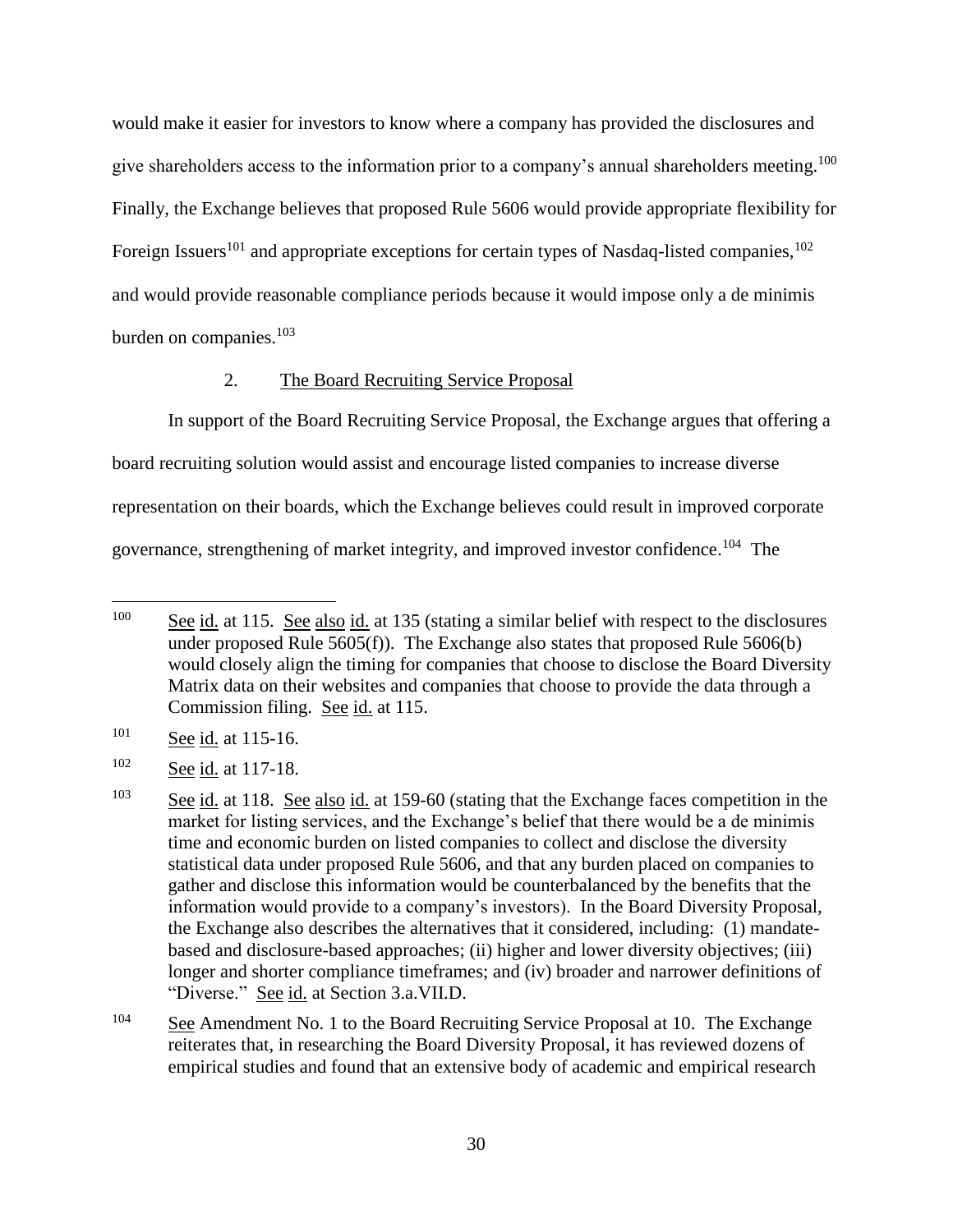would make it easier for investors to know where a company has provided the disclosures and give shareholders access to the information prior to a company's annual shareholders meeting.<sup>100</sup> Finally, the Exchange believes that proposed Rule 5606 would provide appropriate flexibility for Foreign Issuers<sup>101</sup> and appropriate exceptions for certain types of Nasdaq-listed companies,<sup>102</sup> and would provide reasonable compliance periods because it would impose only a de minimis burden on companies. 103

#### 2. The Board Recruiting Service Proposal

In support of the Board Recruiting Service Proposal, the Exchange argues that offering a board recruiting solution would assist and encourage listed companies to increase diverse representation on their boards, which the Exchange believes could result in improved corporate governance, strengthening of market integrity, and improved investor confidence.<sup>104</sup> The

<sup>101</sup> See id. at 115-16.

<sup>&</sup>lt;sup>100</sup> See id. at 115. See also id. at 135 (stating a similar belief with respect to the disclosures under proposed Rule  $5605(f)$ ). The Exchange also states that proposed Rule  $5606(b)$ would closely align the timing for companies that choose to disclose the Board Diversity Matrix data on their websites and companies that choose to provide the data through a Commission filing. See id. at 115.

<sup>102</sup> See id. at 117-18.

<sup>&</sup>lt;sup>103</sup> See id. at 118. See also id. at 159-60 (stating that the Exchange faces competition in the market for listing services, and the Exchange's belief that there would be a de minimis time and economic burden on listed companies to collect and disclose the diversity statistical data under proposed Rule 5606, and that any burden placed on companies to gather and disclose this information would be counterbalanced by the benefits that the information would provide to a company's investors). In the Board Diversity Proposal, the Exchange also describes the alternatives that it considered, including: (1) mandatebased and disclosure-based approaches; (ii) higher and lower diversity objectives; (iii) longer and shorter compliance timeframes; and (iv) broader and narrower definitions of "Diverse." See id. at Section 3.a.VII.D.

 $104$  See Amendment No. 1 to the Board Recruiting Service Proposal at 10. The Exchange reiterates that, in researching the Board Diversity Proposal, it has reviewed dozens of empirical studies and found that an extensive body of academic and empirical research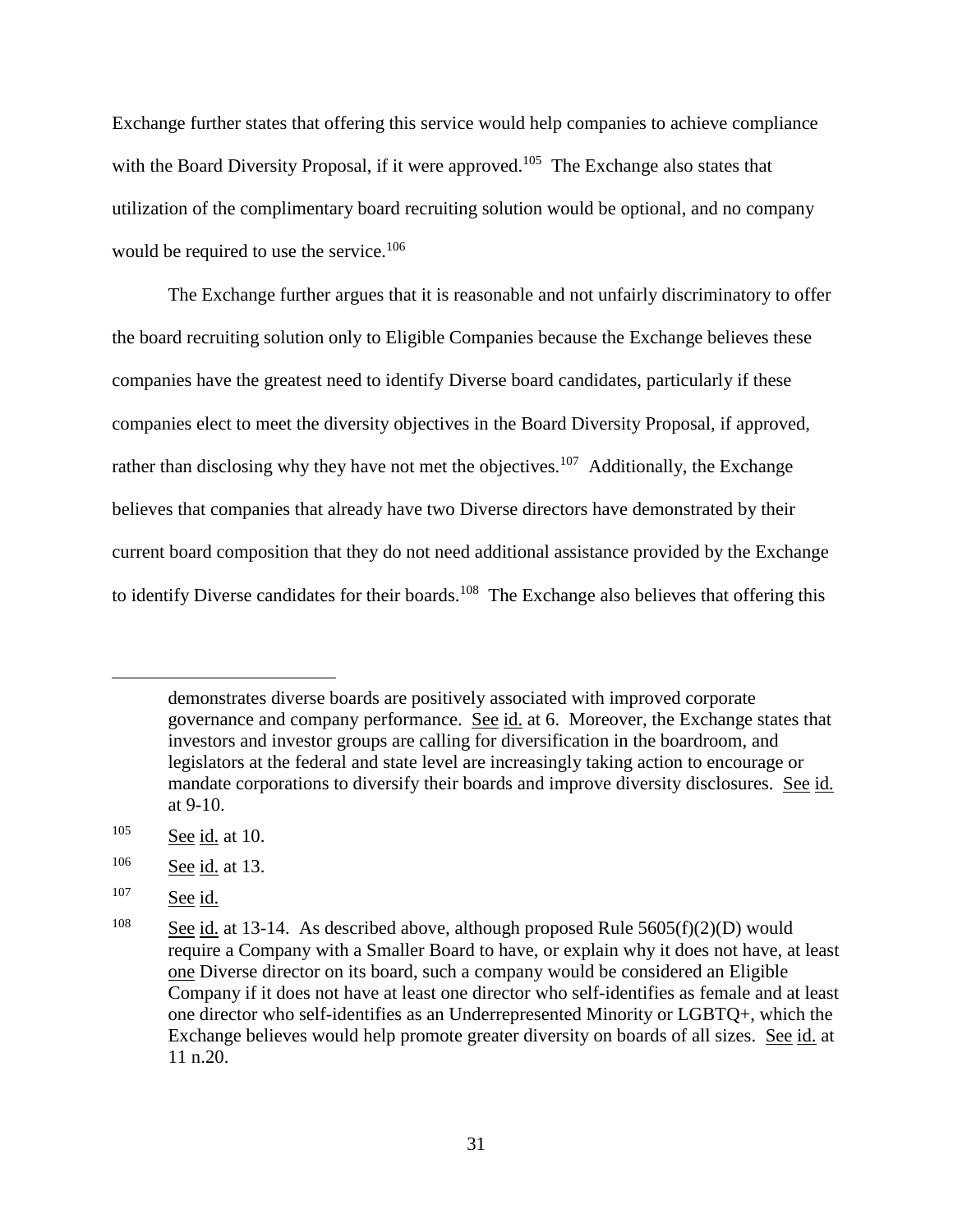Exchange further states that offering this service would help companies to achieve compliance with the Board Diversity Proposal, if it were approved.<sup>105</sup> The Exchange also states that utilization of the complimentary board recruiting solution would be optional, and no company would be required to use the service.<sup>106</sup>

The Exchange further argues that it is reasonable and not unfairly discriminatory to offer the board recruiting solution only to Eligible Companies because the Exchange believes these companies have the greatest need to identify Diverse board candidates, particularly if these companies elect to meet the diversity objectives in the Board Diversity Proposal, if approved, rather than disclosing why they have not met the objectives.<sup>107</sup> Additionally, the Exchange believes that companies that already have two Diverse directors have demonstrated by their current board composition that they do not need additional assistance provided by the Exchange to identify Diverse candidates for their boards.<sup>108</sup> The Exchange also believes that offering this

demonstrates diverse boards are positively associated with improved corporate governance and company performance. See id. at 6. Moreover, the Exchange states that investors and investor groups are calling for diversification in the boardroom, and legislators at the federal and state level are increasingly taking action to encourage or mandate corporations to diversify their boards and improve diversity disclosures. See id. at 9-10.

 $105$  See id. at 10.

<sup>106</sup> See id. at 13.

<sup>&</sup>lt;sup>107</sup> See id.

<sup>&</sup>lt;sup>108</sup> See id. at 13-14. As described above, although proposed Rule  $5605(f)(2)(D)$  would require a Company with a Smaller Board to have, or explain why it does not have, at least one Diverse director on its board, such a company would be considered an Eligible Company if it does not have at least one director who self-identifies as female and at least one director who self-identifies as an Underrepresented Minority or LGBTQ+, which the Exchange believes would help promote greater diversity on boards of all sizes. See id. at 11 n.20.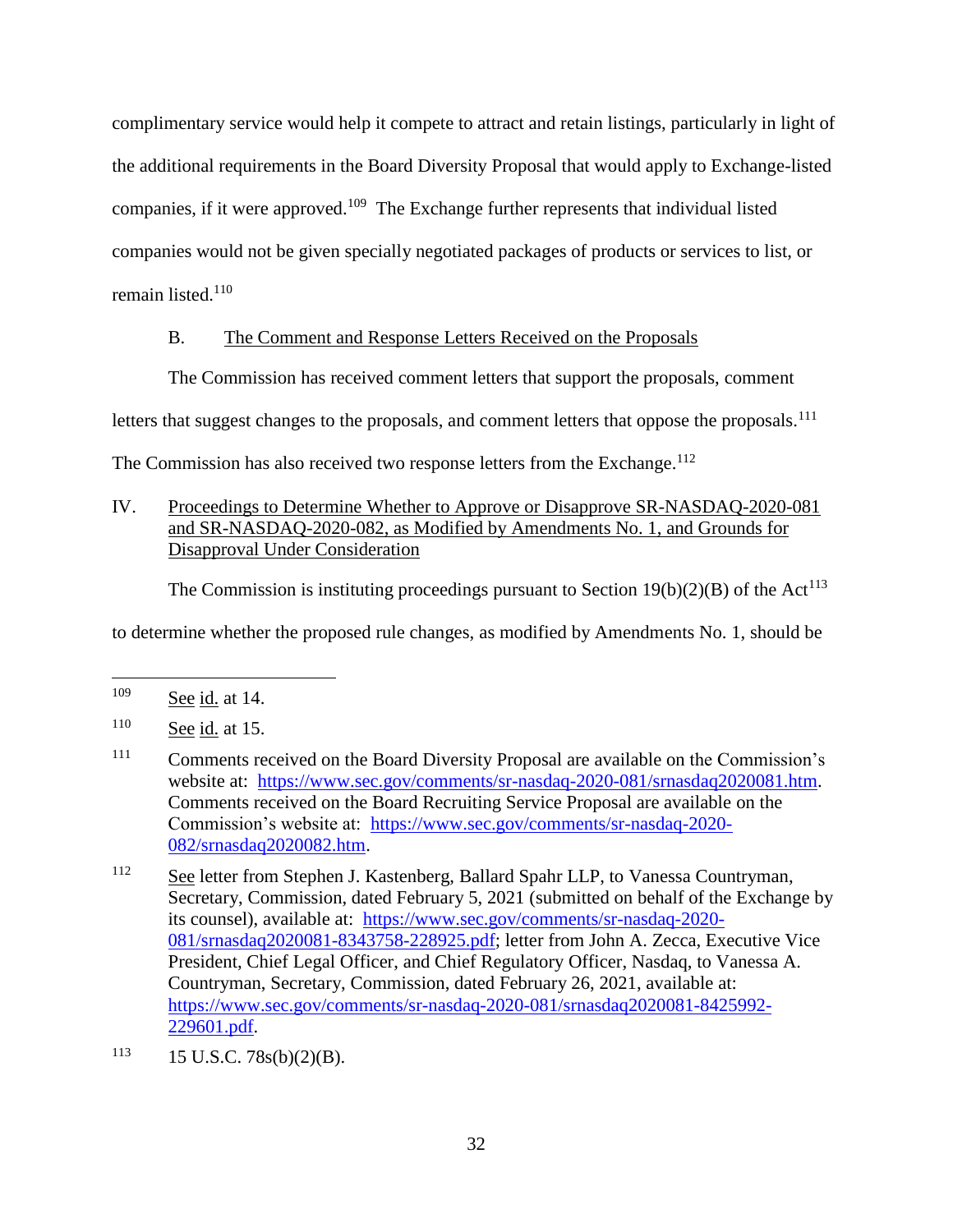complimentary service would help it compete to attract and retain listings, particularly in light of the additional requirements in the Board Diversity Proposal that would apply to Exchange-listed companies, if it were approved.<sup>109</sup> The Exchange further represents that individual listed companies would not be given specially negotiated packages of products or services to list, or remain listed. $110$ 

## B. The Comment and Response Letters Received on the Proposals

The Commission has received comment letters that support the proposals, comment

letters that suggest changes to the proposals, and comment letters that oppose the proposals.<sup>111</sup>

The Commission has also received two response letters from the Exchange.<sup>112</sup>

# IV. Proceedings to Determine Whether to Approve or Disapprove SR-NASDAQ-2020-081 and SR-NASDAQ-2020-082, as Modified by Amendments No. 1, and Grounds for Disapproval Under Consideration

The Commission is instituting proceedings pursuant to Section  $19(b)(2)(B)$  of the Act<sup>113</sup>

to determine whether the proposed rule changes, as modified by Amendments No. 1, should be

<sup>109</sup> See id. at 14.

<sup>110</sup> See id. at 15.

<sup>&</sup>lt;sup>111</sup> Comments received on the Board Diversity Proposal are available on the Commission's website at: [https://www.sec.gov/comments/sr-nasdaq-2020-081/srnasdaq2020081.htm.](https://www.sec.gov/comments/sr-nasdaq-2020-081/srnasdaq2020081.htm) Comments received on the Board Recruiting Service Proposal are available on the Commission's website at: [https://www.sec.gov/comments/sr-nasdaq-2020-](https://www.sec.gov/comments/sr-nasdaq-2020-082/srnasdaq2020082.htm) [082/srnasdaq2020082.htm.](https://www.sec.gov/comments/sr-nasdaq-2020-082/srnasdaq2020082.htm)

<sup>112</sup> See letter from Stephen J. Kastenberg, Ballard Spahr LLP, to Vanessa Countryman, Secretary, Commission, dated February 5, 2021 (submitted on behalf of the Exchange by its counsel), available at: [https://www.sec.gov/comments/sr-nasdaq-2020-](https://www.sec.gov/comments/sr-nasdaq-2020-081/srnasdaq2020081-8343758-228925.pdf) [081/srnasdaq2020081-8343758-228925.pdf;](https://www.sec.gov/comments/sr-nasdaq-2020-081/srnasdaq2020081-8343758-228925.pdf) letter from John A. Zecca, Executive Vice President, Chief Legal Officer, and Chief Regulatory Officer, Nasdaq, to Vanessa A. Countryman, Secretary, Commission, dated February 26, 2021, available at: [https://www.sec.gov/comments/sr-nasdaq-2020-081/srnasdaq2020081-8425992-](https://www.sec.gov/comments/sr-nasdaq-2020-081/srnasdaq2020081-8425992-229601.pdf) [229601.pdf.](https://www.sec.gov/comments/sr-nasdaq-2020-081/srnasdaq2020081-8425992-229601.pdf)

 $113$  15 U.S.C. 78s(b)(2)(B).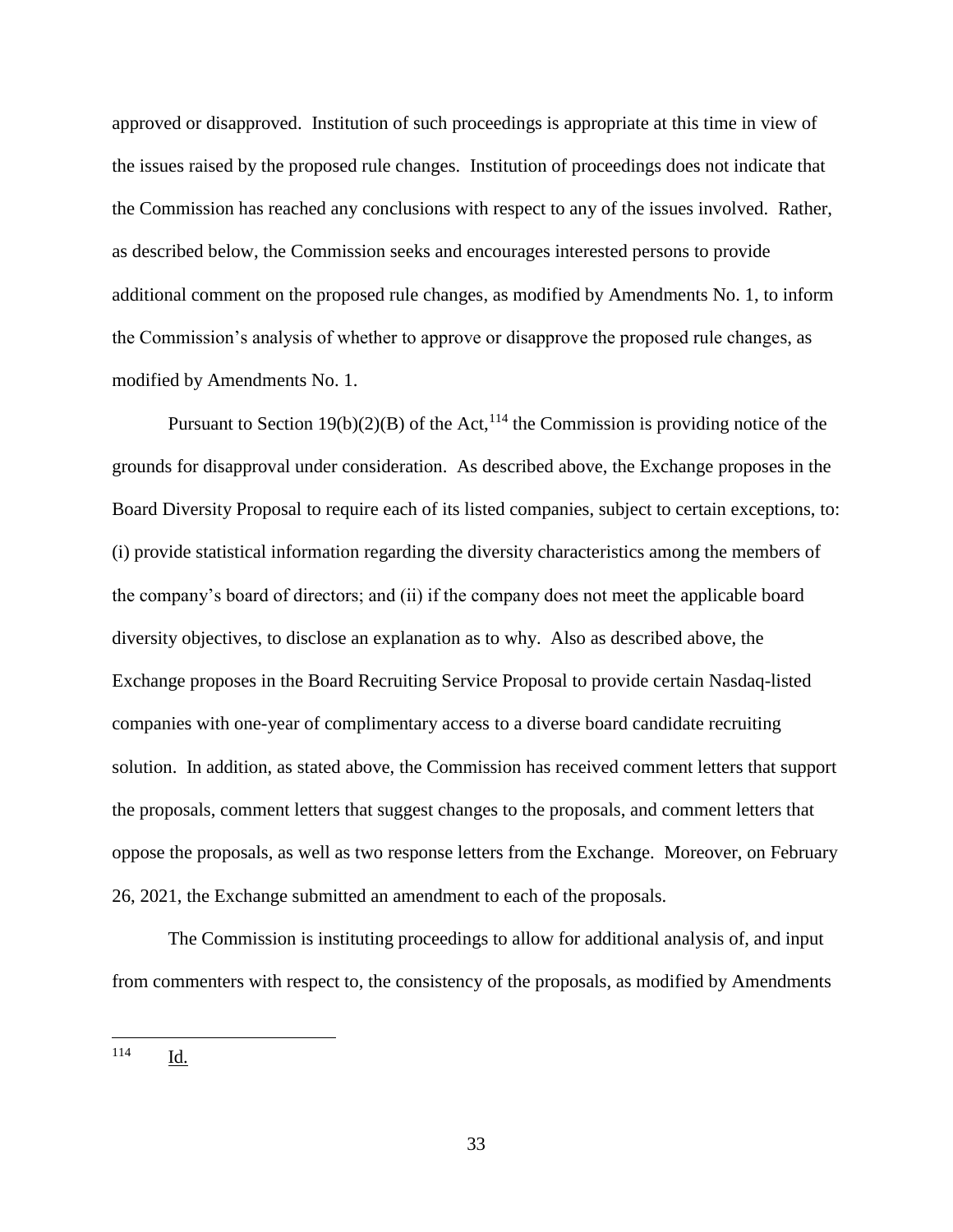approved or disapproved. Institution of such proceedings is appropriate at this time in view of the issues raised by the proposed rule changes. Institution of proceedings does not indicate that the Commission has reached any conclusions with respect to any of the issues involved. Rather, as described below, the Commission seeks and encourages interested persons to provide additional comment on the proposed rule changes, as modified by Amendments No. 1, to inform the Commission's analysis of whether to approve or disapprove the proposed rule changes, as modified by Amendments No. 1.

Pursuant to Section 19(b)(2)(B) of the Act,<sup>114</sup> the Commission is providing notice of the grounds for disapproval under consideration. As described above, the Exchange proposes in the Board Diversity Proposal to require each of its listed companies, subject to certain exceptions, to: (i) provide statistical information regarding the diversity characteristics among the members of the company's board of directors; and (ii) if the company does not meet the applicable board diversity objectives, to disclose an explanation as to why. Also as described above, the Exchange proposes in the Board Recruiting Service Proposal to provide certain Nasdaq-listed companies with one-year of complimentary access to a diverse board candidate recruiting solution. In addition, as stated above, the Commission has received comment letters that support the proposals, comment letters that suggest changes to the proposals, and comment letters that oppose the proposals, as well as two response letters from the Exchange. Moreover, on February 26, 2021, the Exchange submitted an amendment to each of the proposals.

The Commission is instituting proceedings to allow for additional analysis of, and input from commenters with respect to, the consistency of the proposals, as modified by Amendments

<sup>114</sup> Id.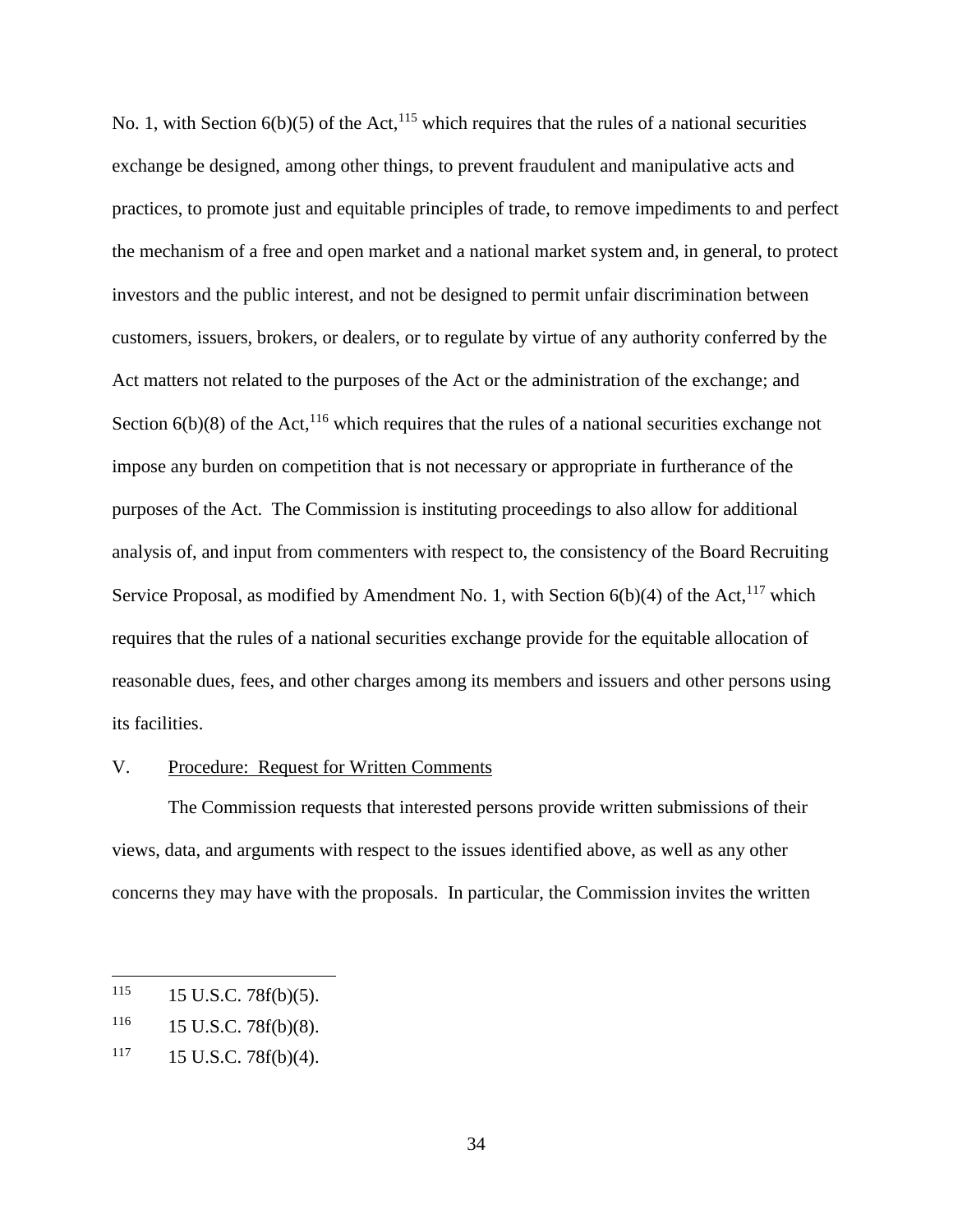No. 1, with Section  $6(b)(5)$  of the Act,<sup>115</sup> which requires that the rules of a national securities exchange be designed, among other things, to prevent fraudulent and manipulative acts and practices, to promote just and equitable principles of trade, to remove impediments to and perfect the mechanism of a free and open market and a national market system and, in general, to protect investors and the public interest, and not be designed to permit unfair discrimination between customers, issuers, brokers, or dealers, or to regulate by virtue of any authority conferred by the Act matters not related to the purposes of the Act or the administration of the exchange; and Section  $6(b)(8)$  of the Act,<sup>116</sup> which requires that the rules of a national securities exchange not impose any burden on competition that is not necessary or appropriate in furtherance of the purposes of the Act. The Commission is instituting proceedings to also allow for additional analysis of, and input from commenters with respect to, the consistency of the Board Recruiting Service Proposal, as modified by Amendment No. 1, with Section  $6(b)(4)$  of the Act,<sup>117</sup> which requires that the rules of a national securities exchange provide for the equitable allocation of reasonable dues, fees, and other charges among its members and issuers and other persons using its facilities.

#### V. Procedure: Request for Written Comments

The Commission requests that interested persons provide written submissions of their views, data, and arguments with respect to the issues identified above, as well as any other concerns they may have with the proposals. In particular, the Commission invites the written

 $115$  15 U.S.C. 78 $f(b)(5)$ .

 $116$  15 U.S.C. 78f(b)(8).

 $117$  15 U.S.C. 78f(b)(4).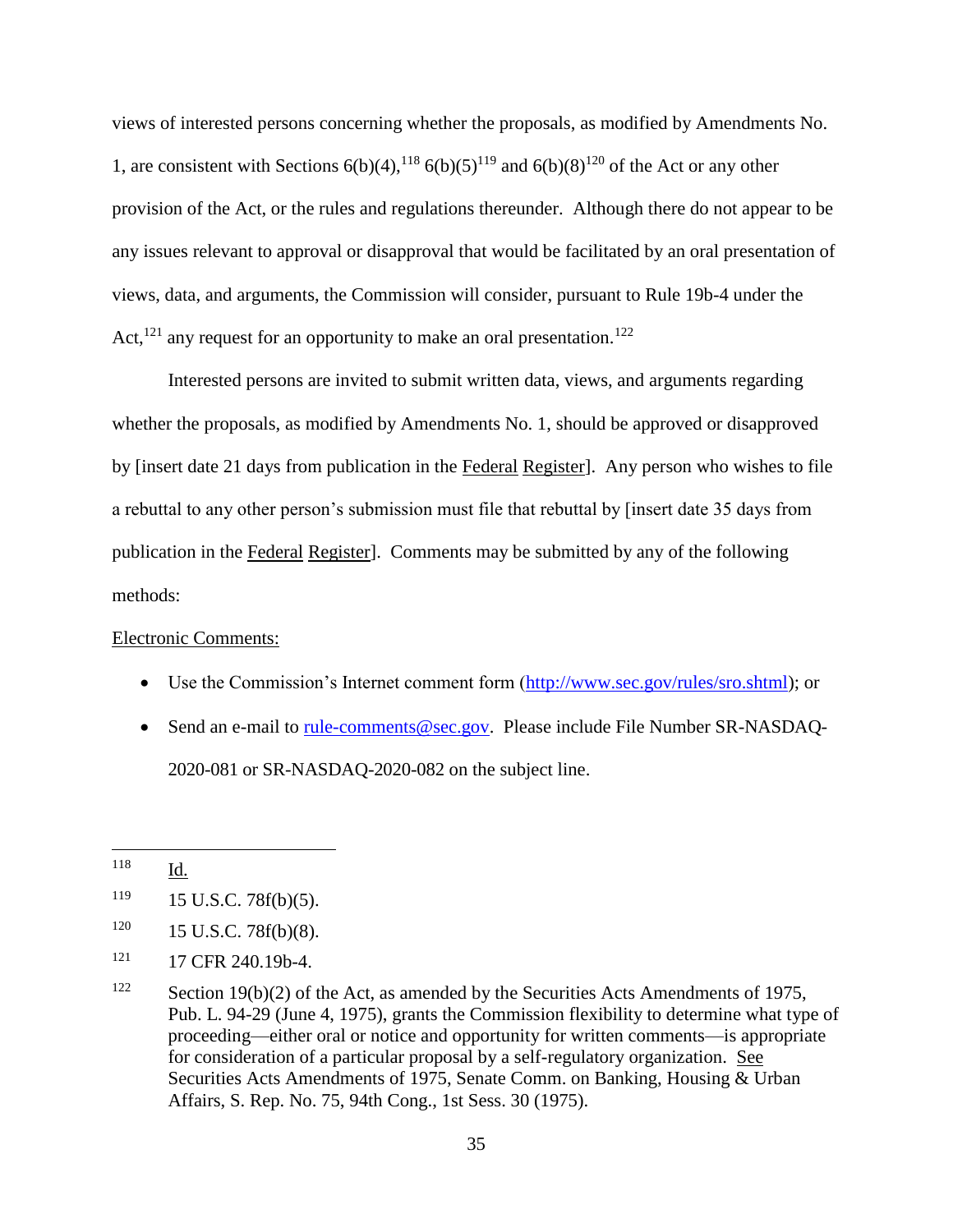views of interested persons concerning whether the proposals, as modified by Amendments No. 1, are consistent with Sections  $6(b)(4)$ , <sup>118</sup>  $6(b)(5)$ <sup>119</sup> and  $6(b)(8)$ <sup>120</sup> of the Act or any other provision of the Act, or the rules and regulations thereunder. Although there do not appear to be any issues relevant to approval or disapproval that would be facilitated by an oral presentation of views, data, and arguments, the Commission will consider, pursuant to Rule 19b-4 under the Act,<sup>121</sup> any request for an opportunity to make an oral presentation.<sup>122</sup>

Interested persons are invited to submit written data, views, and arguments regarding whether the proposals, as modified by Amendments No. 1, should be approved or disapproved by [insert date 21 days from publication in the Federal Register]. Any person who wishes to file a rebuttal to any other person's submission must file that rebuttal by [insert date 35 days from publication in the Federal Register]. Comments may be submitted by any of the following methods:

### Electronic Comments:

- Use the Commission's Internet comment form [\(http://www.sec.gov/rules/sro.shtml\)](http://www.sec.gov/rules/sro.shtml); or
- Send an e-mail to [rule-comments@sec.gov.](mailto:rule-comments@sec.gov) Please include File Number SR-NASDAQ-2020-081 or SR-NASDAQ-2020-082 on the subject line.

<sup>118</sup> Id.

 $119$  15 U.S.C. 78f(b)(5).

 $120$  15 U.S.C. 78f(b)(8).

<sup>&</sup>lt;sup>121</sup> 17 CFR 240.19b-4.

<sup>&</sup>lt;sup>122</sup> Section 19(b)(2) of the Act, as amended by the Securities Acts Amendments of 1975, Pub. L. 94-29 (June 4, 1975), grants the Commission flexibility to determine what type of proceeding—either oral or notice and opportunity for written comments—is appropriate for consideration of a particular proposal by a self-regulatory organization. See Securities Acts Amendments of 1975, Senate Comm. on Banking, Housing & Urban Affairs, S. Rep. No. 75, 94th Cong., 1st Sess. 30 (1975).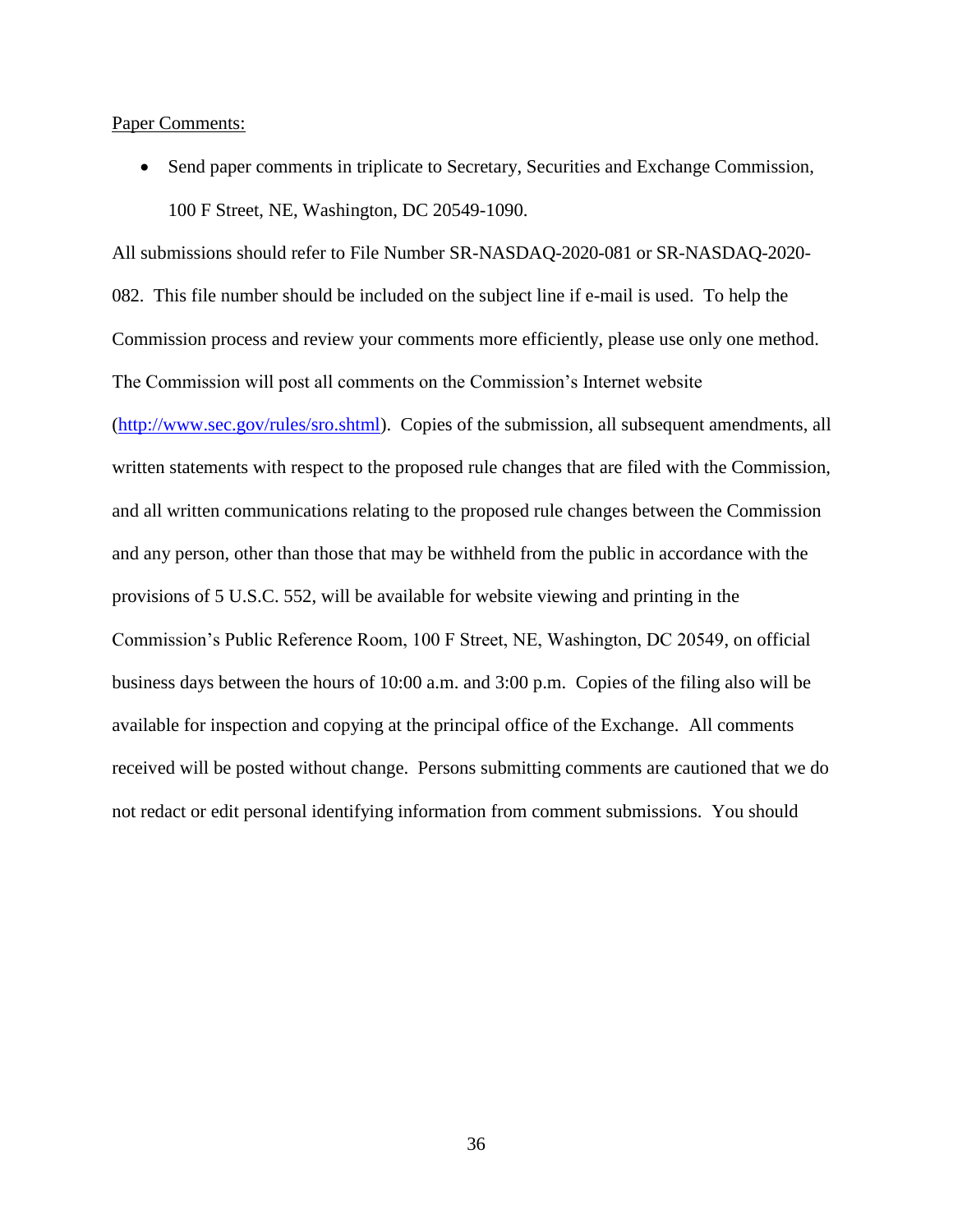Paper Comments:

 Send paper comments in triplicate to Secretary, Securities and Exchange Commission, 100 F Street, NE, Washington, DC 20549-1090.

All submissions should refer to File Number SR-NASDAQ-2020-081 or SR-NASDAQ-2020- 082. This file number should be included on the subject line if e-mail is used. To help the Commission process and review your comments more efficiently, please use only one method. The Commission will post all comments on the Commission's Internet website [\(http://www.sec.gov/rules/sro.shtml\)](http://www.sec.gov/rules/sro.shtml). Copies of the submission, all subsequent amendments, all written statements with respect to the proposed rule changes that are filed with the Commission, and all written communications relating to the proposed rule changes between the Commission and any person, other than those that may be withheld from the public in accordance with the provisions of 5 U.S.C. 552, will be available for website viewing and printing in the Commission's Public Reference Room, 100 F Street, NE, Washington, DC 20549, on official business days between the hours of 10:00 a.m. and 3:00 p.m. Copies of the filing also will be available for inspection and copying at the principal office of the Exchange. All comments received will be posted without change. Persons submitting comments are cautioned that we do not redact or edit personal identifying information from comment submissions. You should